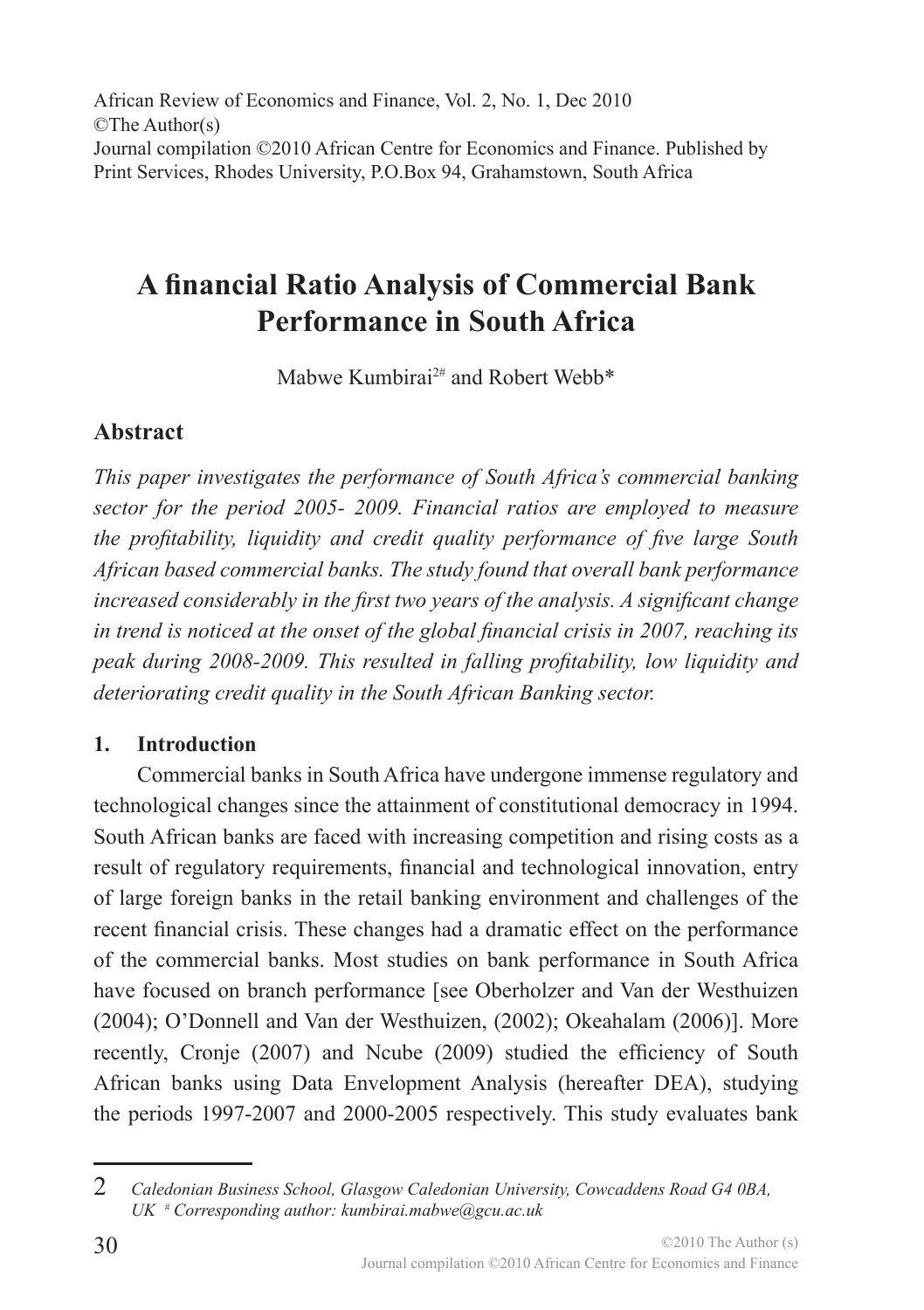African Review of Economics and Finance, Vol. 2, No. 1, Dec 2010 ©The Author(s) Journal compilation ©2010 African Centre for Economics and Finance. Published by Print Services, Rhodes University, P.O.Box 94, Grahamstown, South Africa

# **A financial Ratio Analysis of Commercial Bank Performance in South Africa**

Mabwe Kumbirai2# and Robert Webb\*

## **Abstract**

*This paper investigates the performance of South Africa's commercial banking sector for the period 2005- 2009. Financial ratios are employed to measure the profitability, liquidity and credit quality performance of five large South African based commercial banks. The study found that overall bank performance increased considerably in the first two years of the analysis. A significant change in trend is noticed at the onset of the global financial crisis in 2007, reaching its peak during 2008-2009. This resulted in falling profitability, low liquidity and deteriorating credit quality in the South African Banking sector.* 

### **1. Introduction**

Commercial banks in South Africa have undergone immense regulatory and technological changes since the attainment of constitutional democracy in 1994. South African banks are faced with increasing competition and rising costs as a result of regulatory requirements, financial and technological innovation, entry of large foreign banks in the retail banking environment and challenges of the recent financial crisis. These changes had a dramatic effect on the performance of the commercial banks. Most studies on bank performance in South Africa have focused on branch performance [see Oberholzer and Van der Westhuizen (2004); O'Donnell and Van der Westhuizen, (2002); Okeahalam (2006)]. More recently, Cronje (2007) and Ncube (2009) studied the efficiency of South African banks using Data Envelopment Analysis (hereafter DEA), studying the periods 1997-2007 and 2000-2005 respectively. This study evaluates bank

<sup>2</sup> *Caledonian Business School, Glasgow Caledonian University, Cowcaddens Road G4 0BA, UK # Corresponding author: kumbirai.mabwe@gcu.ac.uk*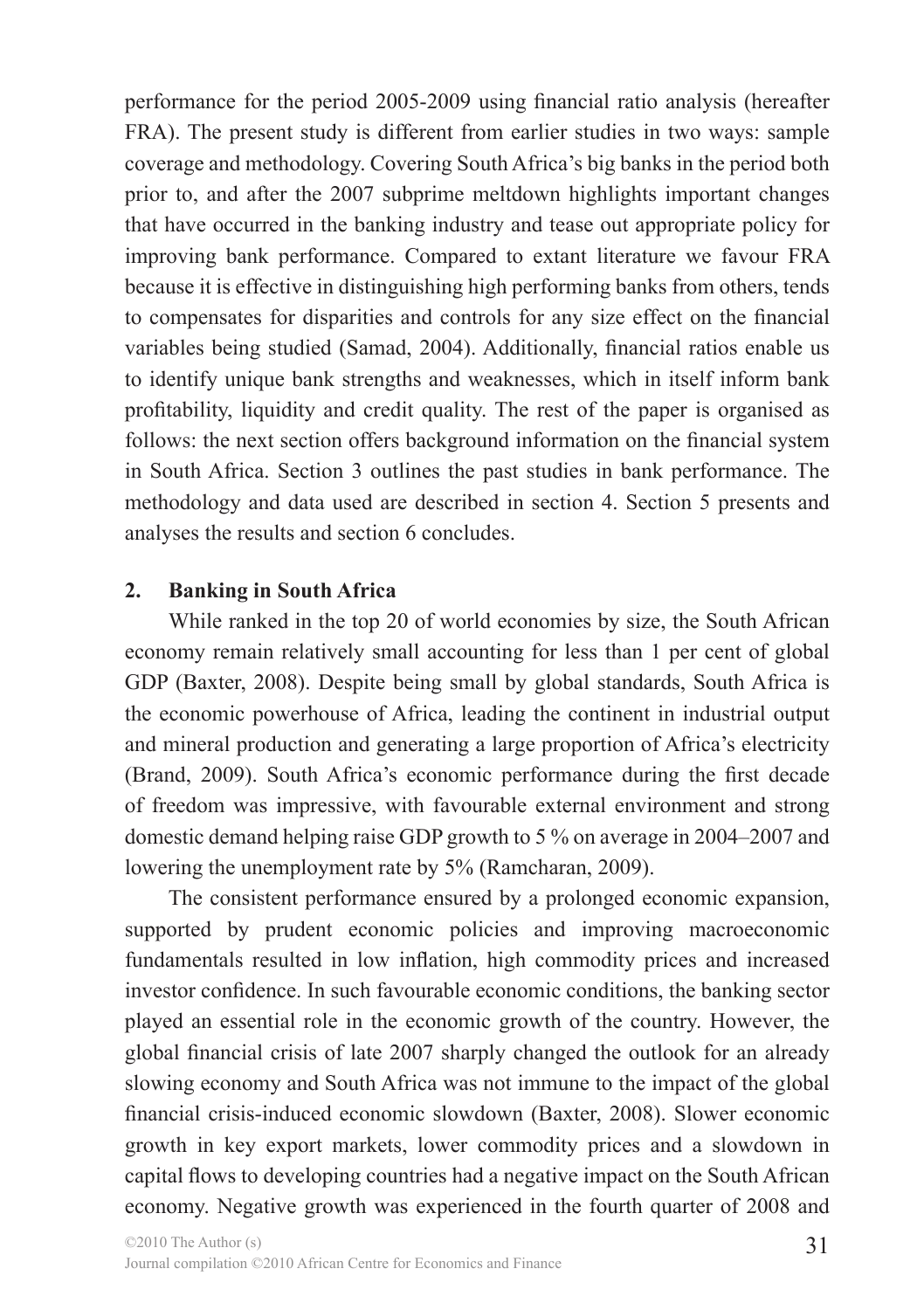performance for the period 2005-2009 using financial ratio analysis (hereafter FRA). The present study is different from earlier studies in two ways: sample coverage and methodology. Covering South Africa's big banks in the period both prior to, and after the 2007 subprime meltdown highlights important changes that have occurred in the banking industry and tease out appropriate policy for improving bank performance. Compared to extant literature we favour FRA because it is effective in distinguishing high performing banks from others, tends to compensates for disparities and controls for any size effect on the financial variables being studied (Samad, 2004). Additionally, financial ratios enable us to identify unique bank strengths and weaknesses, which in itself inform bank profitability, liquidity and credit quality. The rest of the paper is organised as follows: the next section offers background information on the financial system in South Africa. Section 3 outlines the past studies in bank performance. The methodology and data used are described in section 4. Section 5 presents and analyses the results and section 6 concludes.

#### **2. Banking in South Africa**

While ranked in the top 20 of world economies by size, the South African economy remain relatively small accounting for less than 1 per cent of global GDP (Baxter, 2008). Despite being small by global standards, South Africa is the economic powerhouse of Africa, leading the continent in industrial output and mineral production and generating a large proportion of Africa's electricity (Brand, 2009). South Africa's economic performance during the first decade of freedom was impressive, with favourable external environment and strong domestic demand helping raise GDP growth to 5 % on average in 2004–2007 and lowering the unemployment rate by 5% (Ramcharan, 2009).

The consistent performance ensured by a prolonged economic expansion, supported by prudent economic policies and improving macroeconomic fundamentals resulted in low inflation, high commodity prices and increased investor confidence. In such favourable economic conditions, the banking sector played an essential role in the economic growth of the country. However, the global financial crisis of late 2007 sharply changed the outlook for an already slowing economy and South Africa was not immune to the impact of the global financial crisis-induced economic slowdown (Baxter, 2008). Slower economic growth in key export markets, lower commodity prices and a slowdown in capital flows to developing countries had a negative impact on the South African economy. Negative growth was experienced in the fourth quarter of 2008 and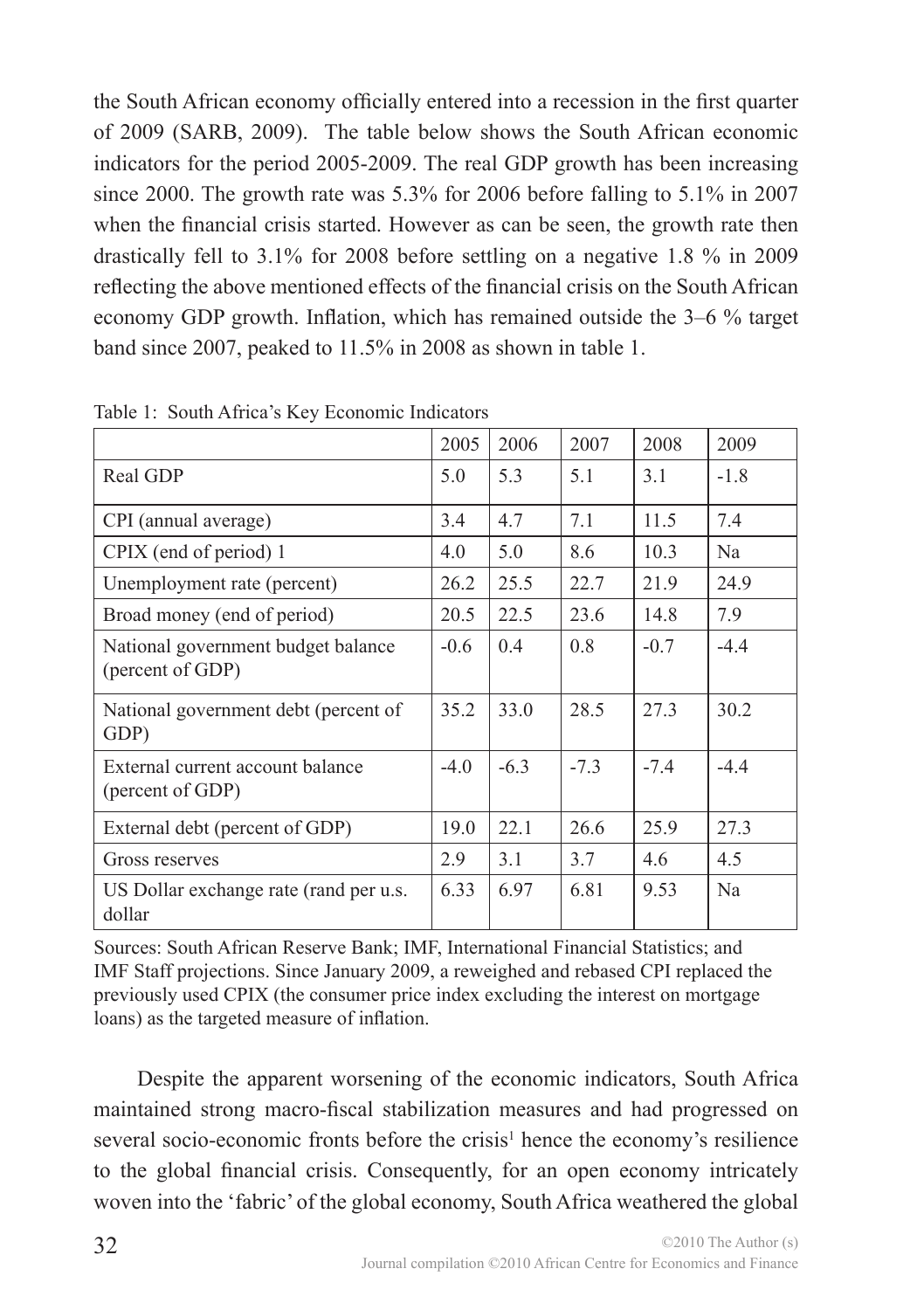the South African economy officially entered into a recession in the first quarter of 2009 (SARB, 2009). The table below shows the South African economic indicators for the period 2005-2009. The real GDP growth has been increasing since 2000. The growth rate was 5.3% for 2006 before falling to 5.1% in 2007 when the financial crisis started. However as can be seen, the growth rate then drastically fell to 3.1% for 2008 before settling on a negative 1.8 % in 2009 reflecting the above mentioned effects of the financial crisis on the South African economy GDP growth. Inflation, which has remained outside the 3–6 % target band since 2007, peaked to 11.5% in 2008 as shown in table 1.

|                                                        | 2005 | 2006   | 2007   | 2008   | 2009   |
|--------------------------------------------------------|------|--------|--------|--------|--------|
| Real GDP                                               | 5.0  | 5.3    | 5.1    | 3.1    | $-1.8$ |
| CPI (annual average)                                   |      | 4.7    | 7.1    | 11.5   | 7.4    |
| CPIX (end of period) 1                                 |      | 5.0    | 8.6    | 10.3   | Na     |
| Unemployment rate (percent)                            |      | 25.5   | 22.7   | 21.9   | 24.9   |
| Broad money (end of period)                            | 20.5 | 22.5   | 23.6   | 14.8   | 7.9    |
| National government budget balance<br>(percent of GDP) |      | 0.4    | 0.8    | $-0.7$ | $-4.4$ |
| National government debt (percent of<br>GDP)           |      | 33.0   | 28.5   | 27.3   | 30.2   |
| External current account balance<br>(percent of GDP)   |      | $-6.3$ | $-7.3$ | $-7.4$ | $-4.4$ |
| External debt (percent of GDP)                         | 19.0 | 22.1   | 26.6   | 25.9   | 27.3   |
| Gross reserves                                         | 2.9  | 3.1    | 3.7    | 4.6    | 4.5    |
| US Dollar exchange rate (rand per u.s.<br>dollar       |      | 6.97   | 6.81   | 9.53   | Na     |

Table 1: South Africa's Key Economic Indicators

Sources: South African Reserve Bank; IMF, International Financial Statistics; and IMF Staff projections. Since January 2009, a reweighed and rebased CPI replaced the previously used CPIX (the consumer price index excluding the interest on mortgage loans) as the targeted measure of inflation.

Despite the apparent worsening of the economic indicators, South Africa maintained strong macro-fiscal stabilization measures and had progressed on several socio-economic fronts before the crisis<sup>1</sup> hence the economy's resilience to the global financial crisis. Consequently, for an open economy intricately woven into the 'fabric' of the global economy, South Africa weathered the global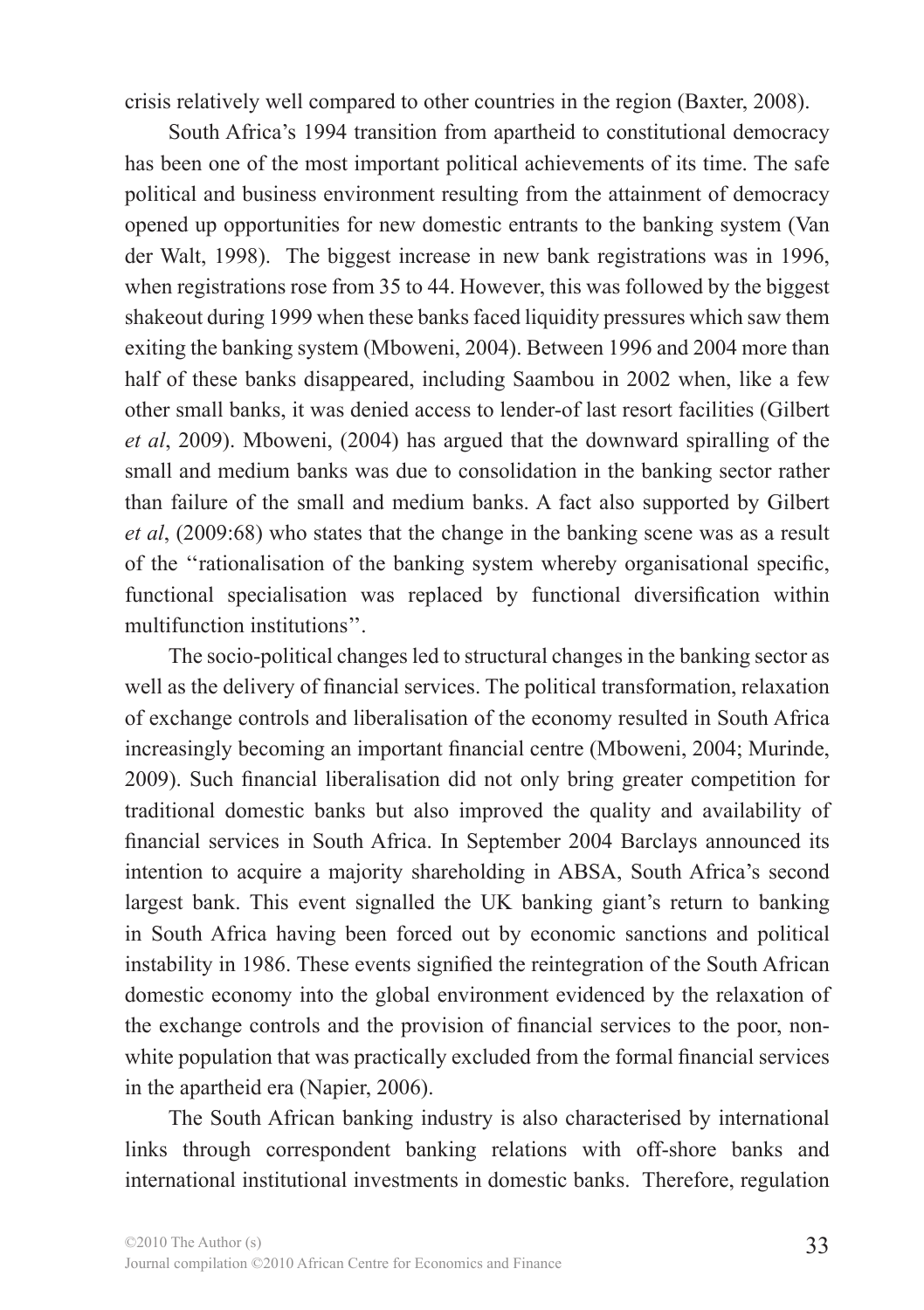crisis relatively well compared to other countries in the region (Baxter, 2008).

South Africa's 1994 transition from apartheid to constitutional democracy has been one of the most important political achievements of its time. The safe political and business environment resulting from the attainment of democracy opened up opportunities for new domestic entrants to the banking system (Van der Walt, 1998). The biggest increase in new bank registrations was in 1996, when registrations rose from 35 to 44. However, this was followed by the biggest shakeout during 1999 when these banks faced liquidity pressures which saw them exiting the banking system (Mboweni, 2004). Between 1996 and 2004 more than half of these banks disappeared, including Saambou in 2002 when, like a few other small banks, it was denied access to lender-of last resort facilities (Gilbert *et al*, 2009). Mboweni, (2004) has argued that the downward spiralling of the small and medium banks was due to consolidation in the banking sector rather than failure of the small and medium banks. A fact also supported by Gilbert *et al*, (2009:68) who states that the change in the banking scene was as a result of the ''rationalisation of the banking system whereby organisational specific, functional specialisation was replaced by functional diversification within multifunction institutions''.

The socio-political changes led to structural changes in the banking sector as well as the delivery of financial services. The political transformation, relaxation of exchange controls and liberalisation of the economy resulted in South Africa increasingly becoming an important financial centre (Mboweni, 2004; Murinde, 2009). Such financial liberalisation did not only bring greater competition for traditional domestic banks but also improved the quality and availability of financial services in South Africa. In September 2004 Barclays announced its intention to acquire a majority shareholding in ABSA, South Africa's second largest bank. This event signalled the UK banking giant's return to banking in South Africa having been forced out by economic sanctions and political instability in 1986. These events signified the reintegration of the South African domestic economy into the global environment evidenced by the relaxation of the exchange controls and the provision of financial services to the poor, nonwhite population that was practically excluded from the formal financial services in the apartheid era (Napier, 2006).

The South African banking industry is also characterised by international links through correspondent banking relations with off-shore banks and international institutional investments in domestic banks. Therefore, regulation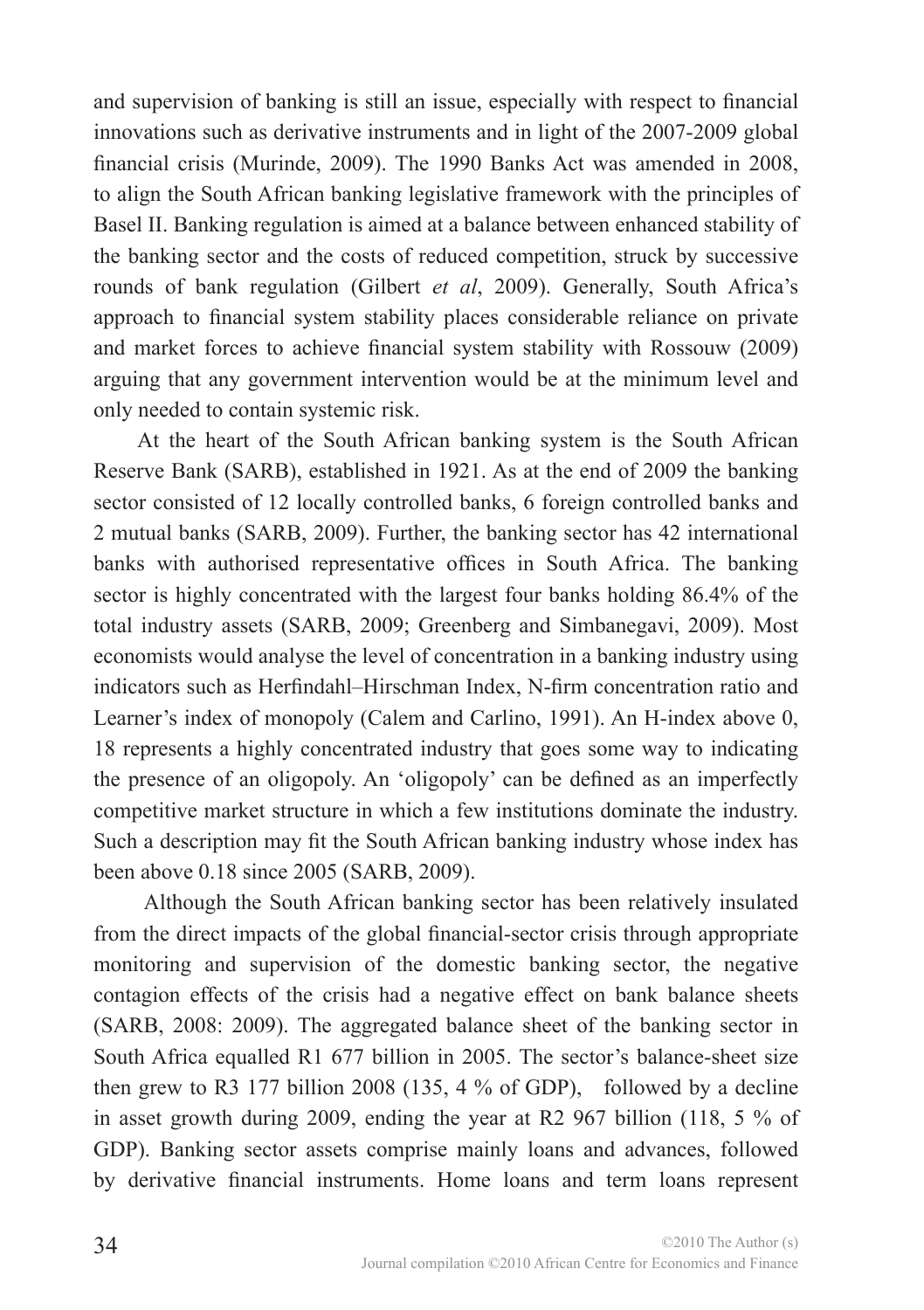and supervision of banking is still an issue, especially with respect to financial innovations such as derivative instruments and in light of the 2007-2009 global financial crisis (Murinde, 2009). The 1990 Banks Act was amended in 2008, to align the South African banking legislative framework with the principles of Basel II. Banking regulation is aimed at a balance between enhanced stability of the banking sector and the costs of reduced competition, struck by successive rounds of bank regulation (Gilbert *et al*, 2009). Generally, South Africa's approach to financial system stability places considerable reliance on private and market forces to achieve financial system stability with Rossouw (2009) arguing that any government intervention would be at the minimum level and only needed to contain systemic risk.

At the heart of the South African banking system is the South African Reserve Bank (SARB), established in 1921. As at the end of 2009 the banking sector consisted of 12 locally controlled banks, 6 foreign controlled banks and 2 mutual banks (SARB, 2009). Further, the banking sector has 42 international banks with authorised representative offices in South Africa. The banking sector is highly concentrated with the largest four banks holding 86.4% of the total industry assets (SARB, 2009; Greenberg and Simbanegavi, 2009). Most economists would analyse the level of concentration in a banking industry using indicators such as Herfindahl–Hirschman Index, N-firm concentration ratio and Learner's index of monopoly (Calem and Carlino, 1991). An H-index above 0, 18 represents a highly concentrated industry that goes some way to indicating the presence of an oligopoly. An 'oligopoly' can be defined as an imperfectly competitive market structure in which a few institutions dominate the industry. Such a description may fit the South African banking industry whose index has been above 0.18 since 2005 (SARB, 2009).

 Although the South African banking sector has been relatively insulated from the direct impacts of the global financial-sector crisis through appropriate monitoring and supervision of the domestic banking sector, the negative contagion effects of the crisis had a negative effect on bank balance sheets (SARB, 2008: 2009). The aggregated balance sheet of the banking sector in South Africa equalled R1 677 billion in 2005. The sector's balance-sheet size then grew to R3 177 billion 2008 (135,  $4\%$  of GDP), followed by a decline in asset growth during 2009, ending the year at R2 967 billion (118, 5 % of GDP). Banking sector assets comprise mainly loans and advances, followed by derivative financial instruments. Home loans and term loans represent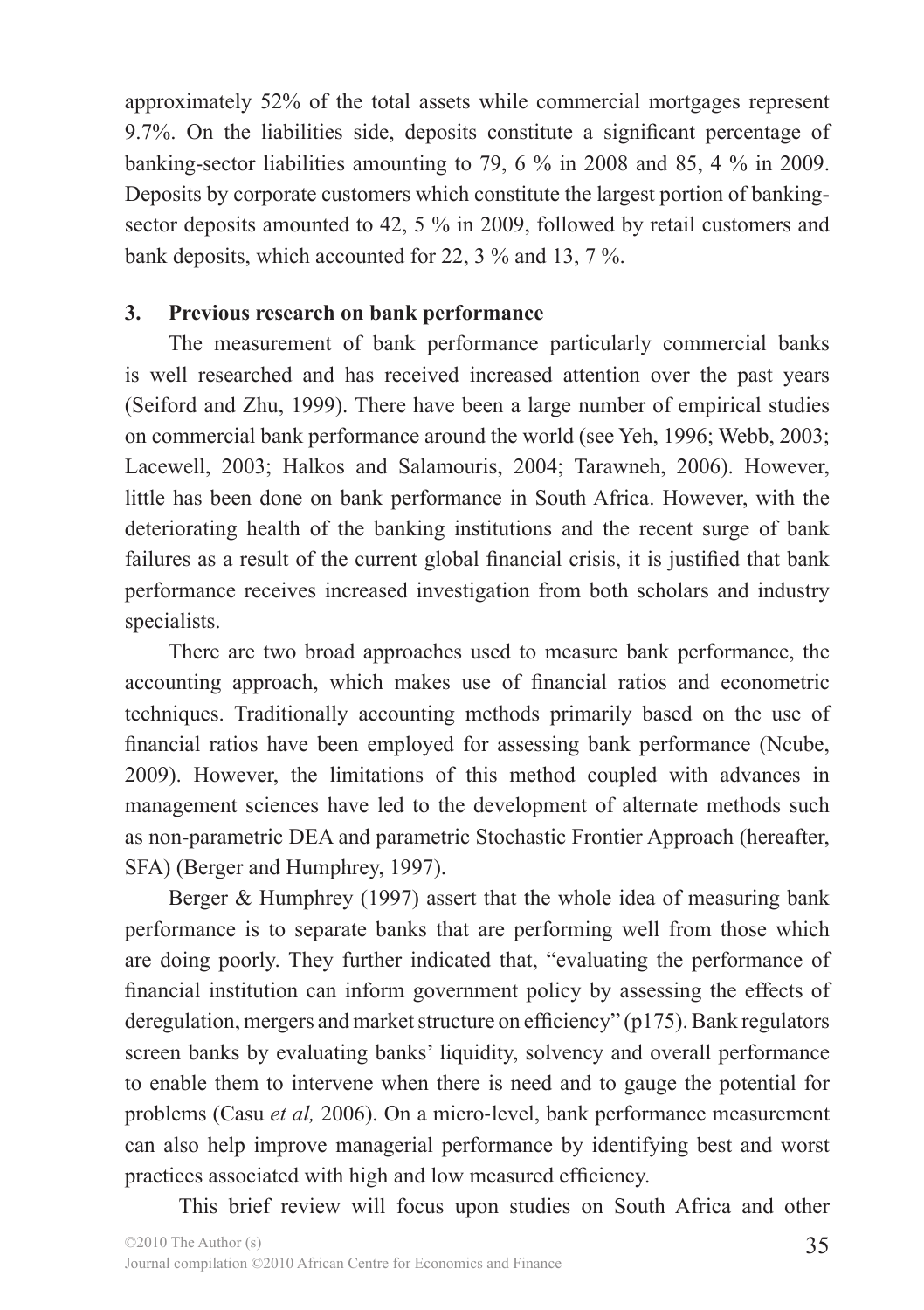approximately 52% of the total assets while commercial mortgages represent 9.7%. On the liabilities side, deposits constitute a significant percentage of banking-sector liabilities amounting to 79, 6 % in 2008 and 85, 4 % in 2009. Deposits by corporate customers which constitute the largest portion of bankingsector deposits amounted to 42, 5 % in 2009, followed by retail customers and bank deposits, which accounted for 22, 3 % and 13, 7 %.

#### **3. Previous research on bank performance**

The measurement of bank performance particularly commercial banks is well researched and has received increased attention over the past years (Seiford and Zhu, 1999). There have been a large number of empirical studies on commercial bank performance around the world (see Yeh, 1996; Webb, 2003; Lacewell, 2003; Halkos and Salamouris, 2004; Tarawneh, 2006). However, little has been done on bank performance in South Africa. However, with the deteriorating health of the banking institutions and the recent surge of bank failures as a result of the current global financial crisis, it is justified that bank performance receives increased investigation from both scholars and industry specialists.

There are two broad approaches used to measure bank performance, the accounting approach, which makes use of financial ratios and econometric techniques. Traditionally accounting methods primarily based on the use of financial ratios have been employed for assessing bank performance (Ncube, 2009). However, the limitations of this method coupled with advances in management sciences have led to the development of alternate methods such as non-parametric DEA and parametric Stochastic Frontier Approach (hereafter, SFA) (Berger and Humphrey, 1997).

Berger & Humphrey (1997) assert that the whole idea of measuring bank performance is to separate banks that are performing well from those which are doing poorly. They further indicated that, "evaluating the performance of financial institution can inform government policy by assessing the effects of deregulation, mergers and market structure on efficiency" (p175). Bank regulators screen banks by evaluating banks' liquidity, solvency and overall performance to enable them to intervene when there is need and to gauge the potential for problems (Casu *et al,* 2006). On a micro‐level, bank performance measurement can also help improve managerial performance by identifying best and worst practices associated with high and low measured efficiency.

This brief review will focus upon studies on South Africa and other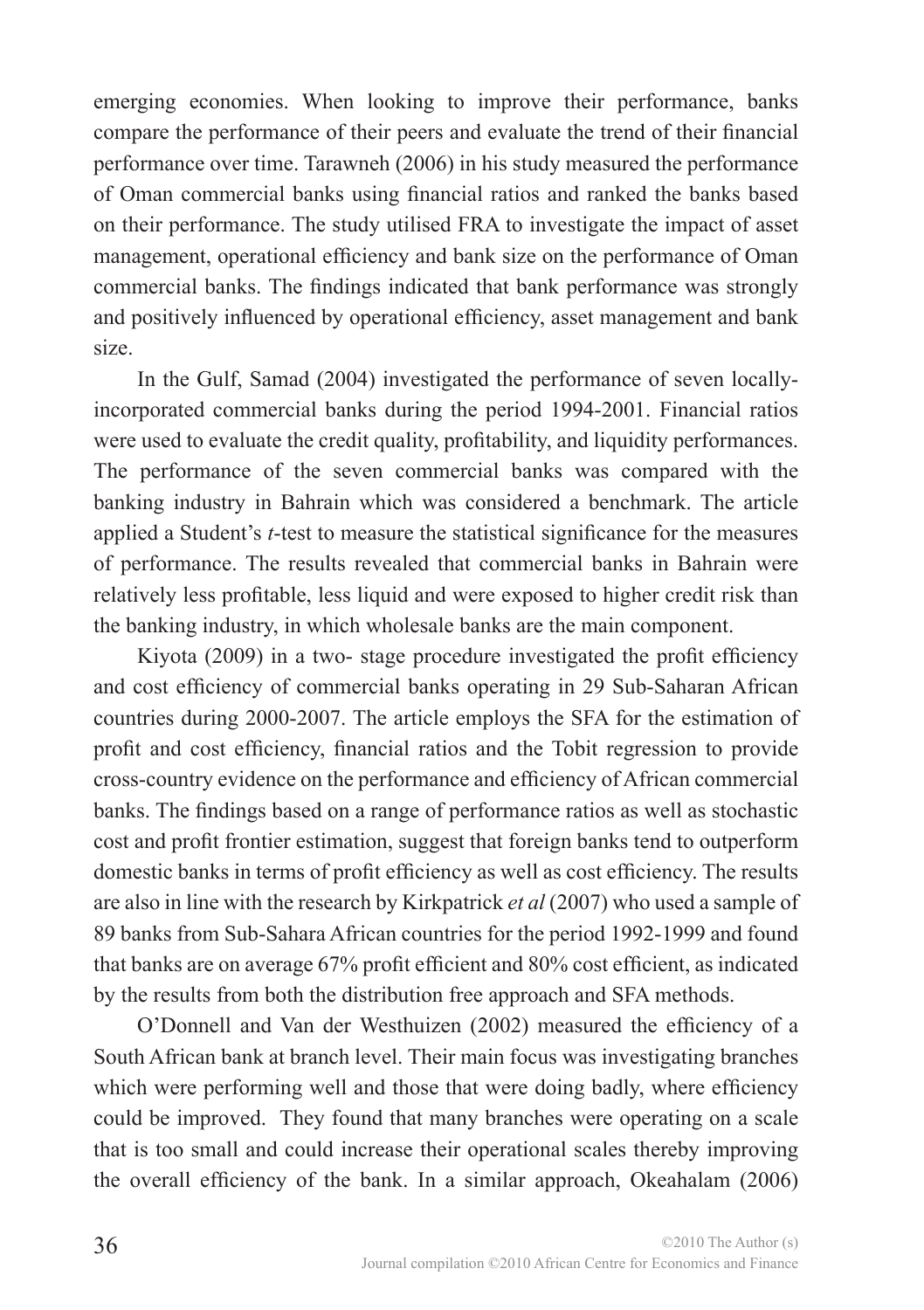emerging economies. When looking to improve their performance, banks compare the performance of their peers and evaluate the trend of their financial performance over time. Tarawneh (2006) in his study measured the performance of Oman commercial banks using financial ratios and ranked the banks based on their performance. The study utilised FRA to investigate the impact of asset management, operational efficiency and bank size on the performance of Oman commercial banks. The findings indicated that bank performance was strongly and positively influenced by operational efficiency, asset management and bank size.

In the Gulf, Samad (2004) investigated the performance of seven locallyincorporated commercial banks during the period 1994-2001. Financial ratios were used to evaluate the credit quality, profitability, and liquidity performances. The performance of the seven commercial banks was compared with the banking industry in Bahrain which was considered a benchmark. The article applied a Student's *t*-test to measure the statistical significance for the measures of performance. The results revealed that commercial banks in Bahrain were relatively less profitable, less liquid and were exposed to higher credit risk than the banking industry, in which wholesale banks are the main component.

Kiyota (2009) in a two- stage procedure investigated the profit efficiency and cost efficiency of commercial banks operating in 29 Sub-Saharan African countries during 2000-2007. The article employs the SFA for the estimation of profit and cost efficiency, financial ratios and the Tobit regression to provide cross-country evidence on the performance and efficiency of African commercial banks. The findings based on a range of performance ratios as well as stochastic cost and profit frontier estimation, suggest that foreign banks tend to outperform domestic banks in terms of profit efficiency as well as cost efficiency. The results are also in line with the research by Kirkpatrick *et al* (2007) who used a sample of 89 banks from Sub-Sahara African countries for the period 1992-1999 and found that banks are on average 67% profit efficient and 80% cost efficient, as indicated by the results from both the distribution free approach and SFA methods.

O'Donnell and Van der Westhuizen (2002) measured the efficiency of a South African bank at branch level. Their main focus was investigating branches which were performing well and those that were doing badly, where efficiency could be improved. They found that many branches were operating on a scale that is too small and could increase their operational scales thereby improving the overall efficiency of the bank. In a similar approach, Okeahalam (2006)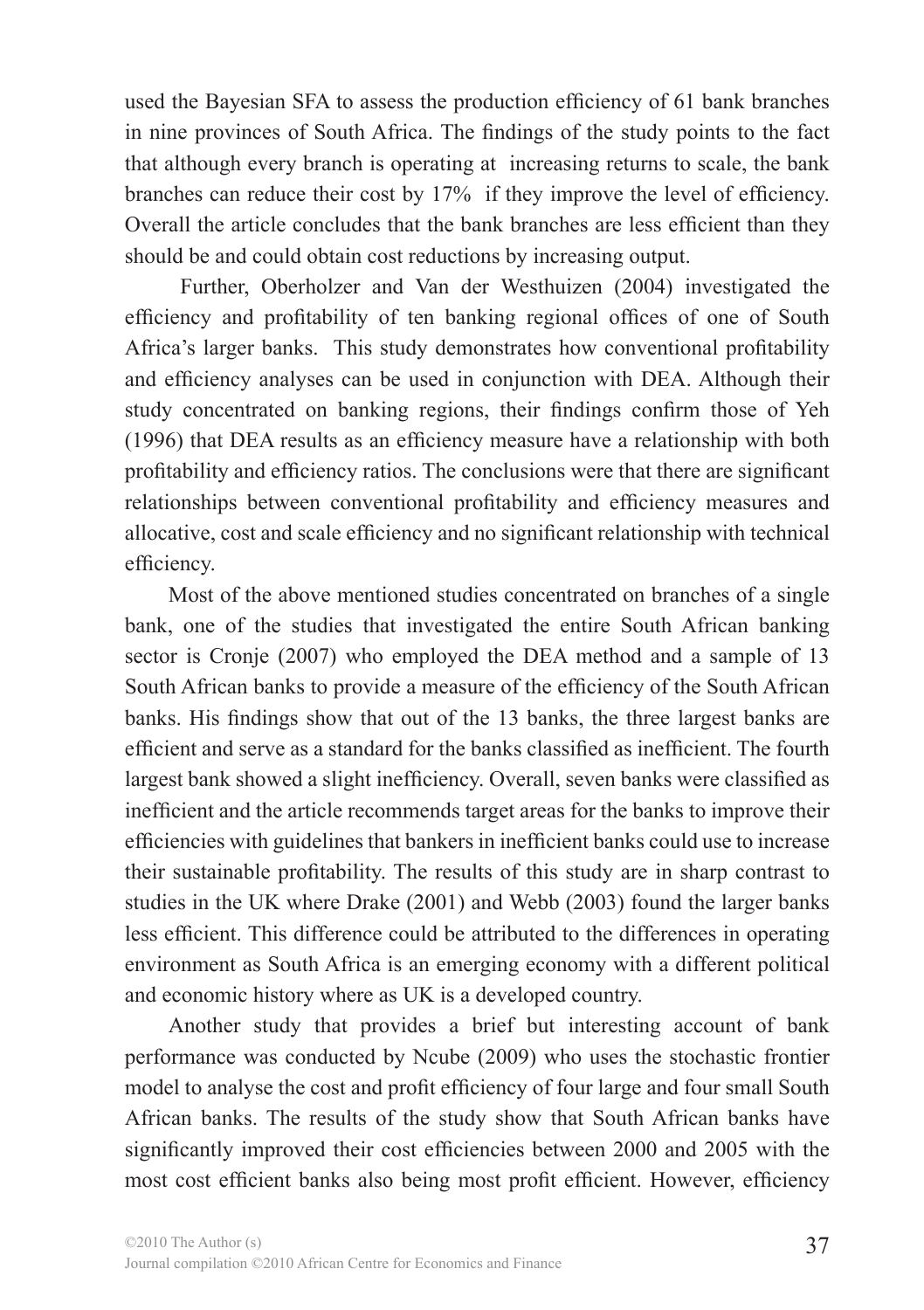used the Bayesian SFA to assess the production efficiency of 61 bank branches in nine provinces of South Africa. The findings of the study points to the fact that although every branch is operating at increasing returns to scale, the bank branches can reduce their cost by 17% if they improve the level of efficiency. Overall the article concludes that the bank branches are less efficient than they should be and could obtain cost reductions by increasing output.

 Further, Oberholzer and Van der Westhuizen (2004) investigated the efficiency and profitability of ten banking regional offices of one of South Africa's larger banks. This study demonstrates how conventional profitability and efficiency analyses can be used in conjunction with DEA. Although their study concentrated on banking regions, their findings confirm those of Yeh (1996) that DEA results as an efficiency measure have a relationship with both profitability and efficiency ratios. The conclusions were that there are significant relationships between conventional profitability and efficiency measures and allocative, cost and scale efficiency and no significant relationship with technical efficiency.

Most of the above mentioned studies concentrated on branches of a single bank, one of the studies that investigated the entire South African banking sector is Cronje (2007) who employed the DEA method and a sample of 13 South African banks to provide a measure of the efficiency of the South African banks. His findings show that out of the 13 banks, the three largest banks are efficient and serve as a standard for the banks classified as inefficient. The fourth largest bank showed a slight inefficiency. Overall, seven banks were classified as inefficient and the article recommends target areas for the banks to improve their efficiencies with guidelines that bankers in inefficient banks could use to increase their sustainable profitability. The results of this study are in sharp contrast to studies in the UK where Drake (2001) and Webb (2003) found the larger banks less efficient. This difference could be attributed to the differences in operating environment as South Africa is an emerging economy with a different political and economic history where as UK is a developed country.

Another study that provides a brief but interesting account of bank performance was conducted by Ncube (2009) who uses the stochastic frontier model to analyse the cost and profit efficiency of four large and four small South African banks. The results of the study show that South African banks have significantly improved their cost efficiencies between 2000 and 2005 with the most cost efficient banks also being most profit efficient. However, efficiency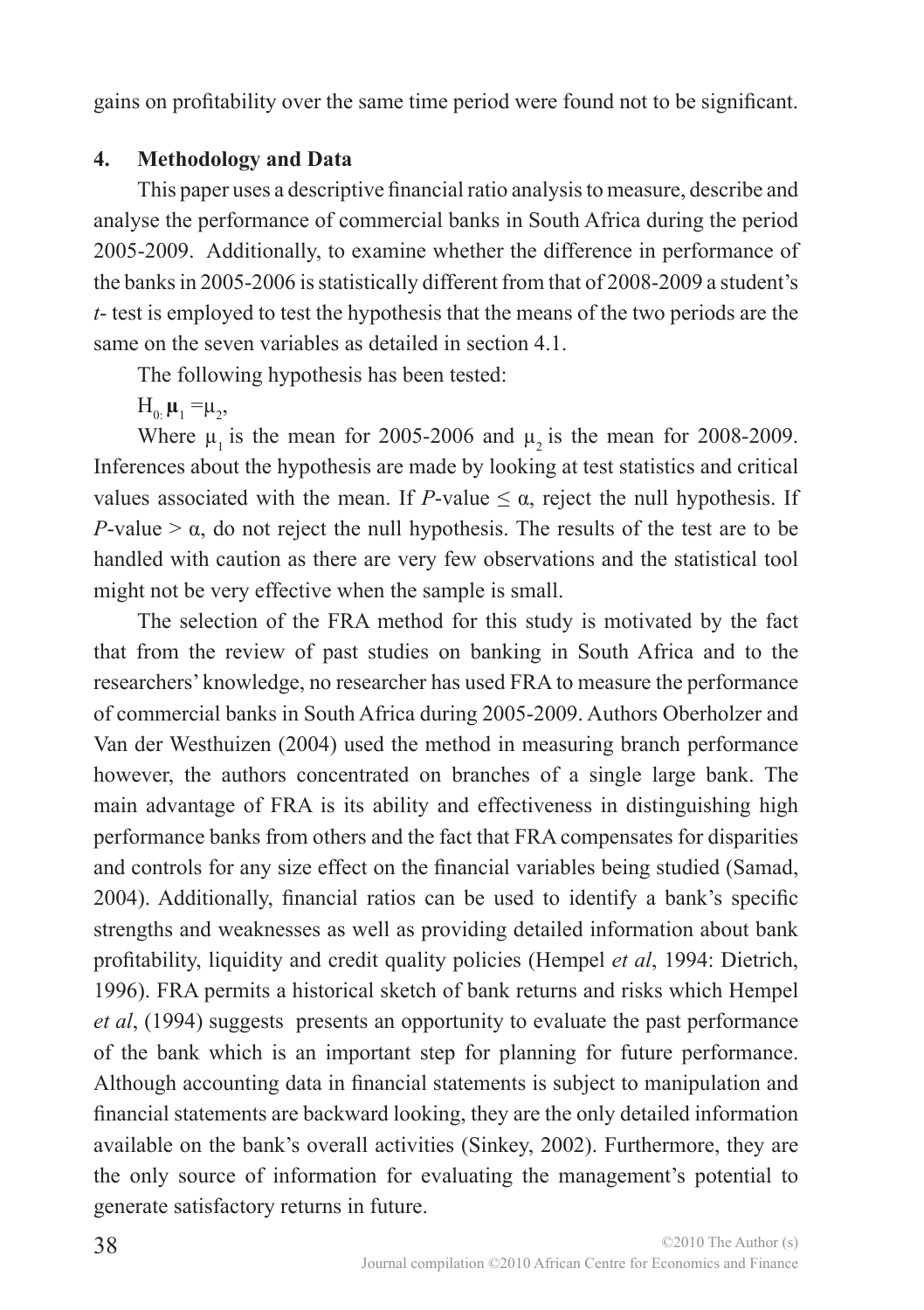gains on profitability over the same time period were found not to be significant.

#### **4. Methodology and Data**

This paper uses a descriptive financial ratio analysis to measure, describe and analyse the performance of commercial banks in South Africa during the period 2005-2009. Additionally, to examine whether the difference in performance of the banks in 2005-2006 is statistically different from that of 2008-2009 a student's *t*- test is employed to test the hypothesis that the means of the two periods are the same on the seven variables as detailed in section 4.1.

The following hypothesis has been tested:

 $H_{0}$ <sub> $\mu_1$ </sub> =  $\mu_2$ ,

Where  $\mu$ , is the mean for 2005-2006 and  $\mu$ , is the mean for 2008-2009. Inferences about the hypothesis are made by looking at test statistics and critical values associated with the mean. If *P*-value  $\leq \alpha$ , reject the null hypothesis. If *P*-value  $> \alpha$ , do not reject the null hypothesis. The results of the test are to be handled with caution as there are very few observations and the statistical tool might not be very effective when the sample is small.

The selection of the FRA method for this study is motivated by the fact that from the review of past studies on banking in South Africa and to the researchers' knowledge, no researcher has used FRA to measure the performance of commercial banks in South Africa during 2005-2009. Authors Oberholzer and Van der Westhuizen (2004) used the method in measuring branch performance however, the authors concentrated on branches of a single large bank. The main advantage of FRA is its ability and effectiveness in distinguishing high performance banks from others and the fact that FRA compensates for disparities and controls for any size effect on the financial variables being studied (Samad, 2004). Additionally, financial ratios can be used to identify a bank's specific strengths and weaknesses as well as providing detailed information about bank profitability, liquidity and credit quality policies (Hempel *et al*, 1994: Dietrich, 1996). FRA permits a historical sketch of bank returns and risks which Hempel *et al*, (1994) suggests presents an opportunity to evaluate the past performance of the bank which is an important step for planning for future performance. Although accounting data in financial statements is subject to manipulation and financial statements are backward looking, they are the only detailed information available on the bank's overall activities (Sinkey, 2002). Furthermore, they are the only source of information for evaluating the management's potential to generate satisfactory returns in future.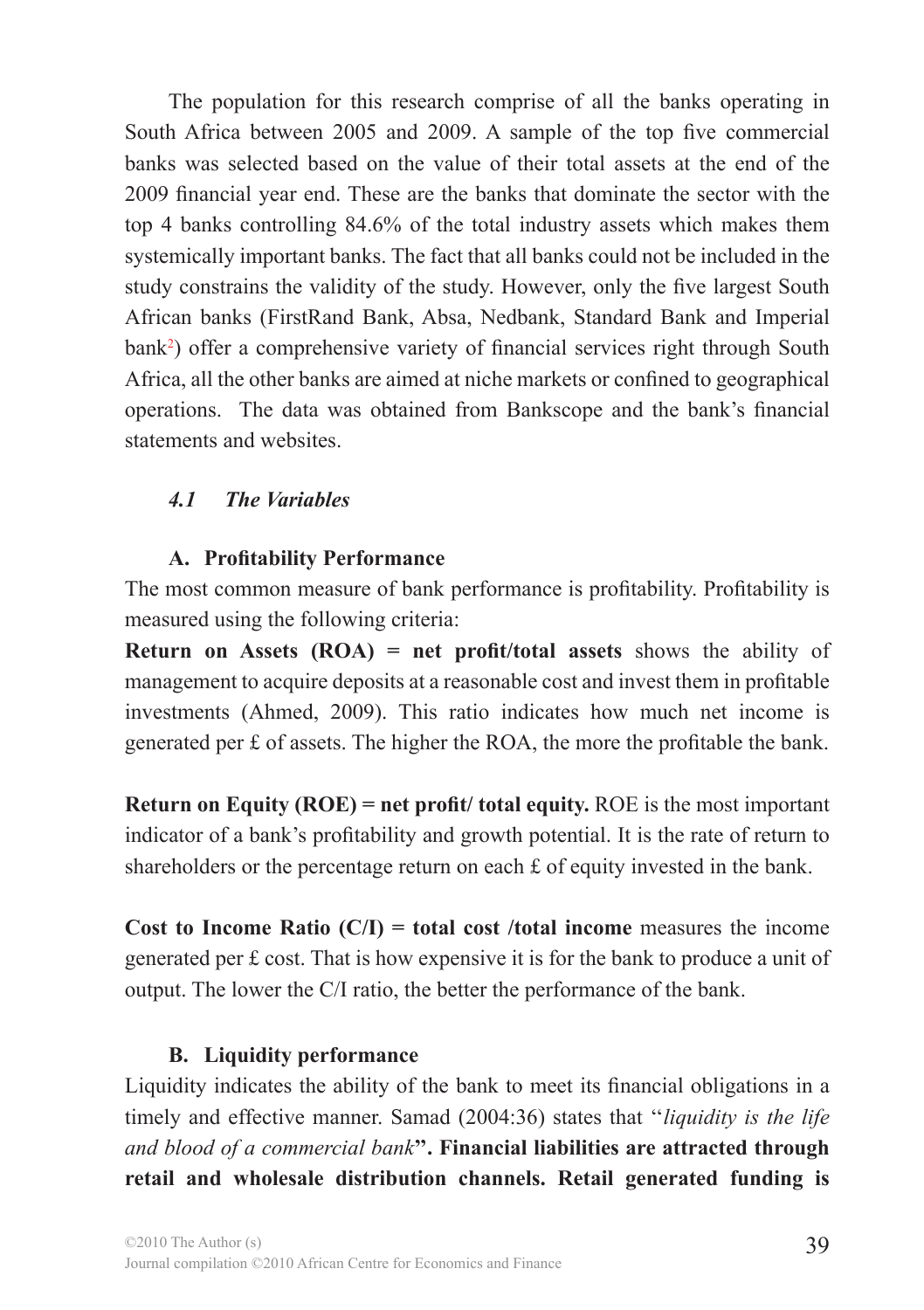The population for this research comprise of all the banks operating in South Africa between 2005 and 2009. A sample of the top five commercial banks was selected based on the value of their total assets at the end of the 2009 financial year end. These are the banks that dominate the sector with the top 4 banks controlling 84.6% of the total industry assets which makes them systemically important banks. The fact that all banks could not be included in the study constrains the validity of the study. However, only the five largest South African banks (FirstRand Bank, Absa, Nedbank, Standard Bank and Imperial bank2 ) offer a comprehensive variety of financial services right through South Africa, all the other banks are aimed at niche markets or confined to geographical operations. The data was obtained from Bankscope and the bank's financial statements and websites.

### *4.1 The Variables*

#### **A. Profitability Performance**

The most common measure of bank performance is profitability. Profitability is measured using the following criteria:

**Return on Assets (ROA) = net profit/total assets** shows the ability of management to acquire deposits at a reasonable cost and invest them in profitable investments (Ahmed, 2009). This ratio indicates how much net income is generated per £ of assets. The higher the ROA, the more the profitable the bank.

**Return on Equity (ROE) = net profit/ total equity.** ROE is the most important indicator of a bank's profitability and growth potential. It is the rate of return to shareholders or the percentage return on each £ of equity invested in the bank.

**Cost to Income Ratio (C/I) = total cost /total income** measures the income generated per £ cost. That is how expensive it is for the bank to produce a unit of output. The lower the C/I ratio, the better the performance of the bank.

### **B. Liquidity performance**

Liquidity indicates the ability of the bank to meet its financial obligations in a timely and effective manner. Samad (2004:36) states that ''*liquidity is the life and blood of a commercial bank***''. Financial liabilities are attracted through retail and wholesale distribution channels. Retail generated funding is**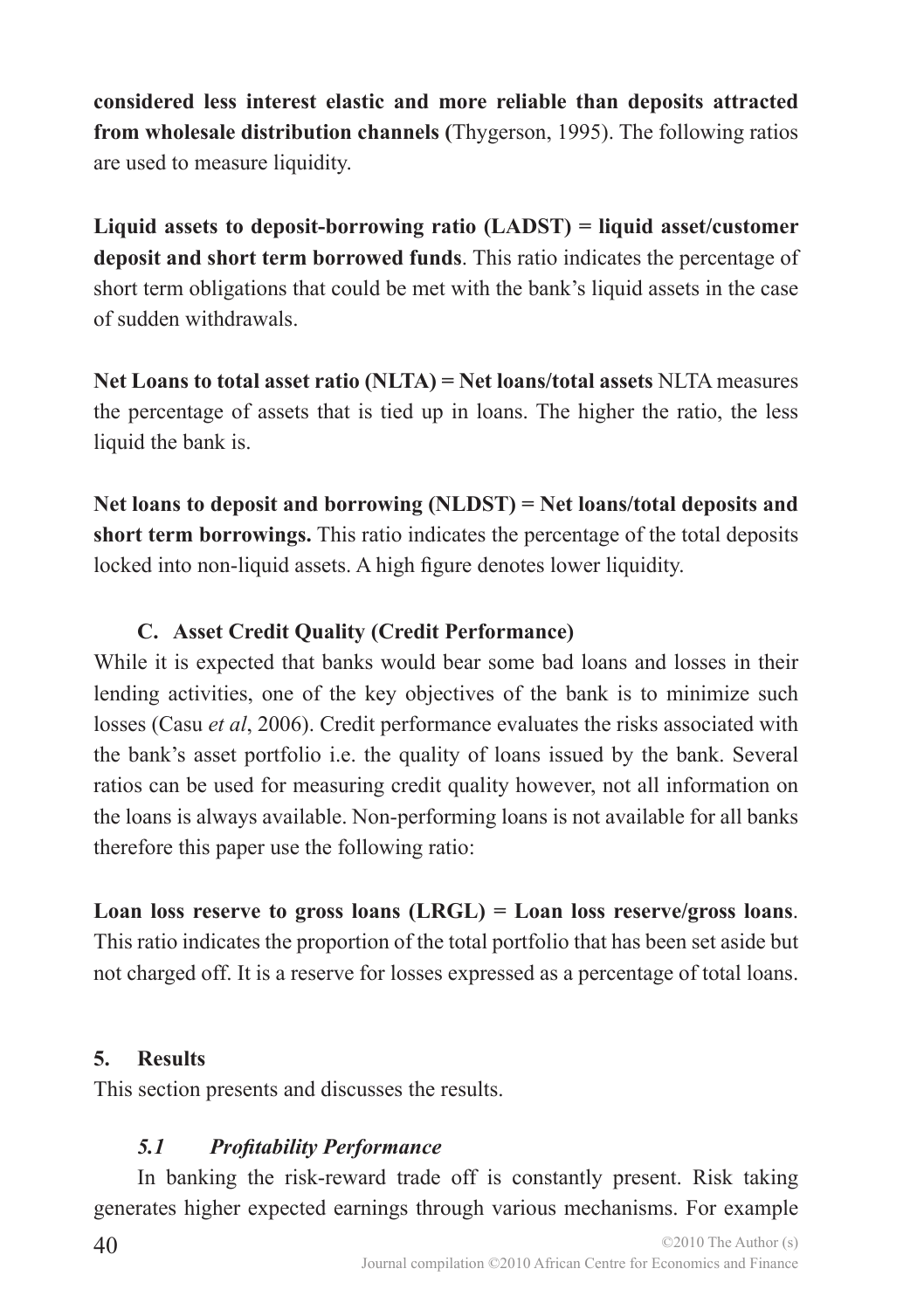**considered less interest elastic and more reliable than deposits attracted from wholesale distribution channels (**Thygerson, 1995). The following ratios are used to measure liquidity.

**Liquid assets to deposit-borrowing ratio (LADST) = liquid asset/customer deposit and short term borrowed funds**. This ratio indicates the percentage of short term obligations that could be met with the bank's liquid assets in the case of sudden withdrawals.

**Net Loans to total asset ratio (NLTA) = Net loans/total assets** NLTA measures the percentage of assets that is tied up in loans. The higher the ratio, the less liquid the bank is.

**Net loans to deposit and borrowing (NLDST) = Net loans/total deposits and short term borrowings.** This ratio indicates the percentage of the total deposits locked into non-liquid assets. A high figure denotes lower liquidity.

### **C. Asset Credit Quality (Credit Performance)**

While it is expected that banks would bear some bad loans and losses in their lending activities, one of the key objectives of the bank is to minimize such losses (Casu *et al*, 2006). Credit performance evaluates the risks associated with the bank's asset portfolio i.e. the quality of loans issued by the bank. Several ratios can be used for measuring credit quality however, not all information on the loans is always available. Non-performing loans is not available for all banks therefore this paper use the following ratio:

### **Loan loss reserve to gross loans (LRGL) = Loan loss reserve/gross loans**.

This ratio indicates the proportion of the total portfolio that has been set aside but not charged off. It is a reserve for losses expressed as a percentage of total loans.

### **5. Results**

This section presents and discusses the results.

### *5.1 Profitability Performance*

In banking the risk-reward trade off is constantly present. Risk taking generates higher expected earnings through various mechanisms. For example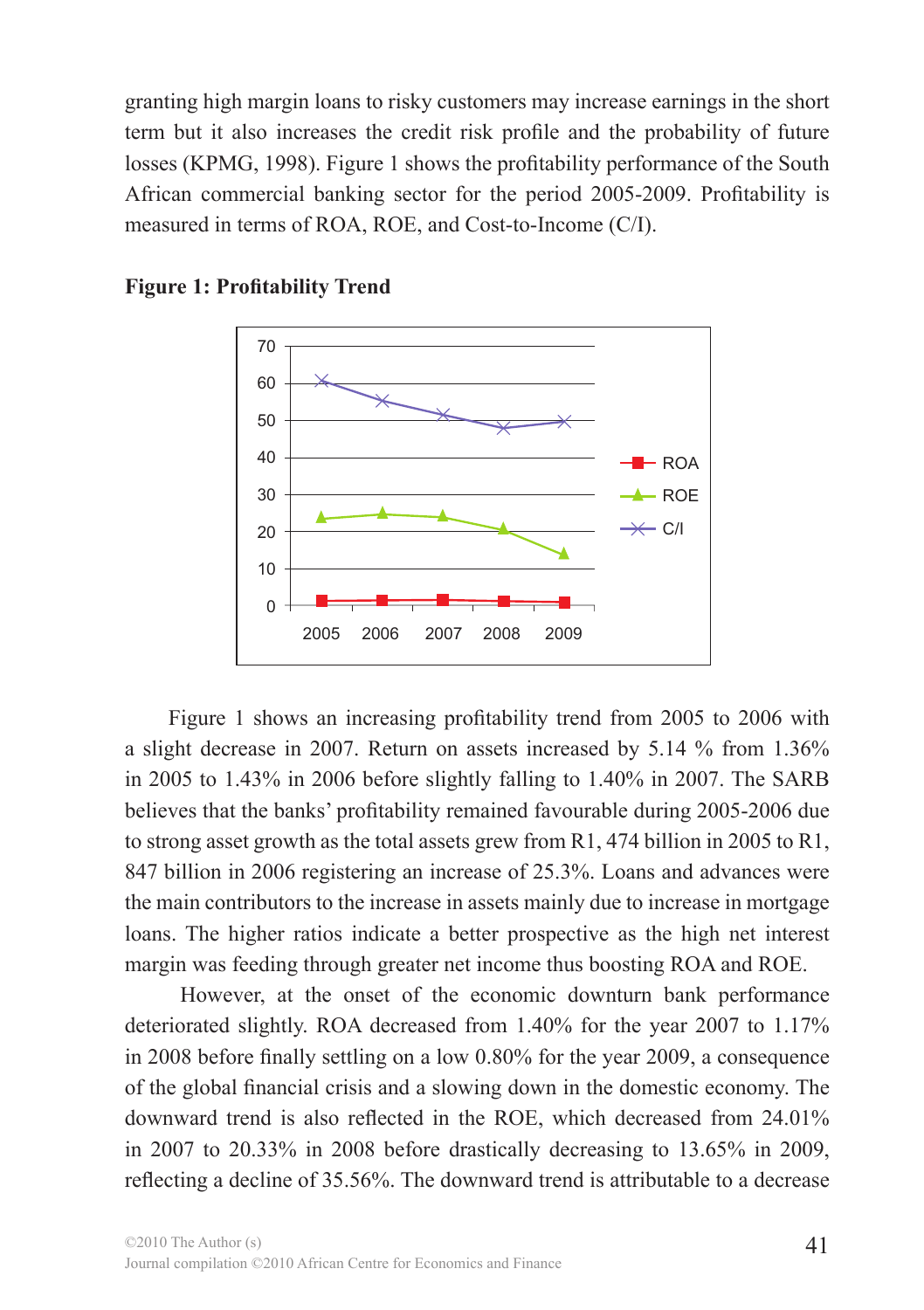granting high margin loans to risky customers may increase earnings in the short term but it also increases the credit risk profile and the probability of future losses (KPMG, 1998). Figure 1 shows the profitability performance of the South African commercial banking sector for the period 2005-2009. Profitability is measured in terms of ROA, ROE, and Cost-to-Income (C/I).



**Figure 1: Profitability Trend**

Figure 1 shows an increasing profitability trend from 2005 to 2006 with a slight decrease in 2007. Return on assets increased by 5.14 % from 1.36% in 2005 to 1.43% in 2006 before slightly falling to 1.40% in 2007. The SARB believes that the banks' profitability remained favourable during 2005-2006 due to strong asset growth as the total assets grew from R1, 474 billion in 2005 to R1, 847 billion in 2006 registering an increase of 25.3%. Loans and advances were the main contributors to the increase in assets mainly due to increase in mortgage loans. The higher ratios indicate a better prospective as the high net interest margin was feeding through greater net income thus boosting ROA and ROE.

 However, at the onset of the economic downturn bank performance deteriorated slightly. ROA decreased from 1.40% for the year 2007 to 1.17% in 2008 before finally settling on a low 0.80% for the year 2009, a consequence of the global financial crisis and a slowing down in the domestic economy. The downward trend is also reflected in the ROE, which decreased from 24.01% in 2007 to 20.33% in 2008 before drastically decreasing to 13.65% in 2009, reflecting a decline of 35.56%. The downward trend is attributable to a decrease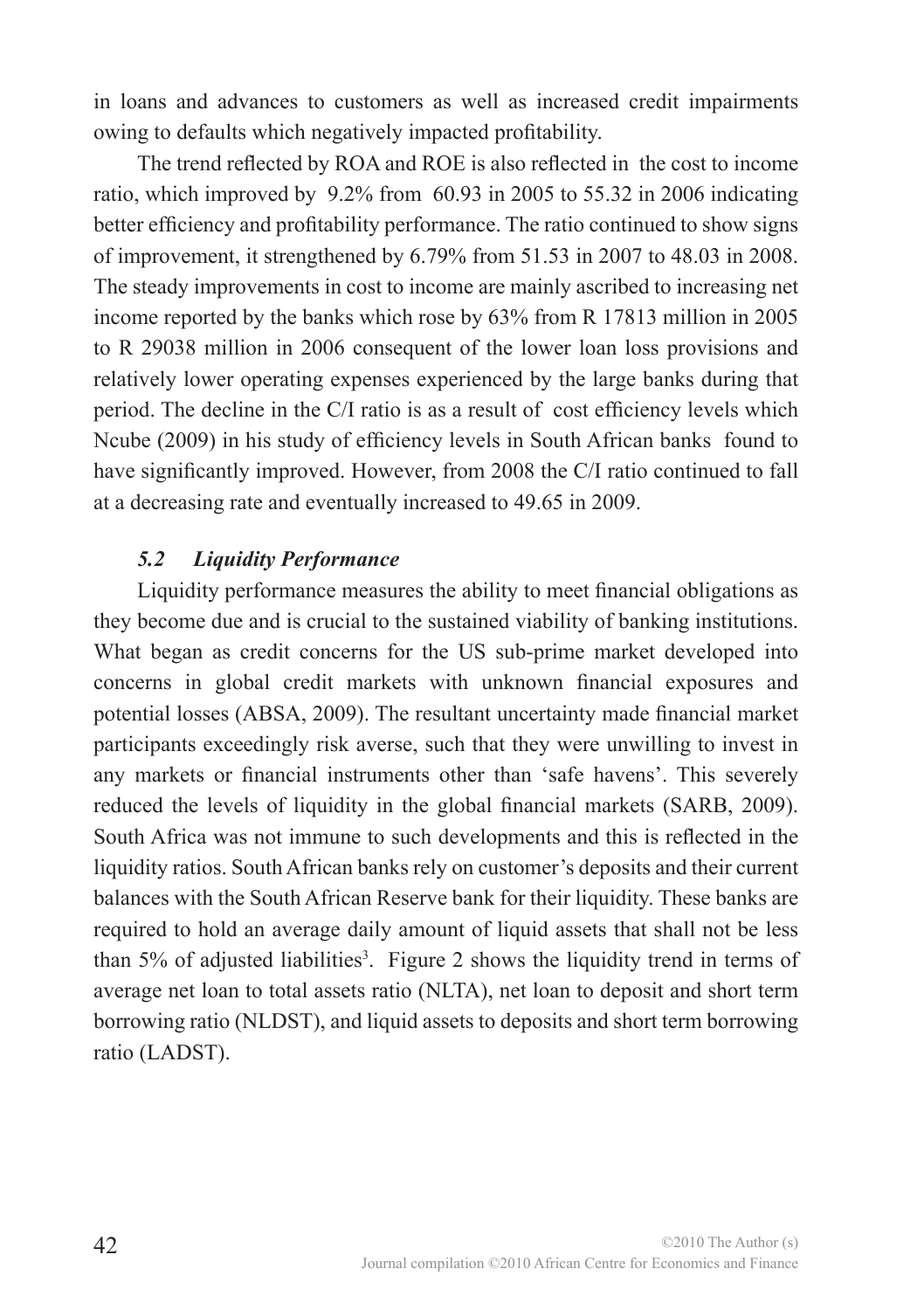in loans and advances to customers as well as increased credit impairments owing to defaults which negatively impacted profitability.

The trend reflected by ROA and ROE is also reflected in the cost to income ratio, which improved by 9.2% from 60.93 in 2005 to 55.32 in 2006 indicating better efficiency and profitability performance. The ratio continued to show signs of improvement, it strengthened by 6.79% from 51.53 in 2007 to 48.03 in 2008. The steady improvements in cost to income are mainly ascribed to increasing net income reported by the banks which rose by 63% from R 17813 million in 2005 to R 29038 million in 2006 consequent of the lower loan loss provisions and relatively lower operating expenses experienced by the large banks during that period. The decline in the C/I ratio is as a result of cost efficiency levels which Ncube (2009) in his study of efficiency levels in South African banks found to have significantly improved. However, from 2008 the C/I ratio continued to fall at a decreasing rate and eventually increased to 49.65 in 2009.

#### *5.2 Liquidity Performance*

Liquidity performance measures the ability to meet financial obligations as they become due and is crucial to the sustained viability of banking institutions. What began as credit concerns for the US sub-prime market developed into concerns in global credit markets with unknown financial exposures and potential losses (ABSA, 2009). The resultant uncertainty made financial market participants exceedingly risk averse, such that they were unwilling to invest in any markets or financial instruments other than 'safe havens'. This severely reduced the levels of liquidity in the global financial markets (SARB, 2009). South Africa was not immune to such developments and this is reflected in the liquidity ratios. South African banks rely on customer's deposits and their current balances with the South African Reserve bank for their liquidity. These banks are required to hold an average daily amount of liquid assets that shall not be less than 5% of adjusted liabilities<sup>3</sup>. Figure 2 shows the liquidity trend in terms of average net loan to total assets ratio (NLTA), net loan to deposit and short term borrowing ratio (NLDST), and liquid assets to deposits and short term borrowing ratio (LADST).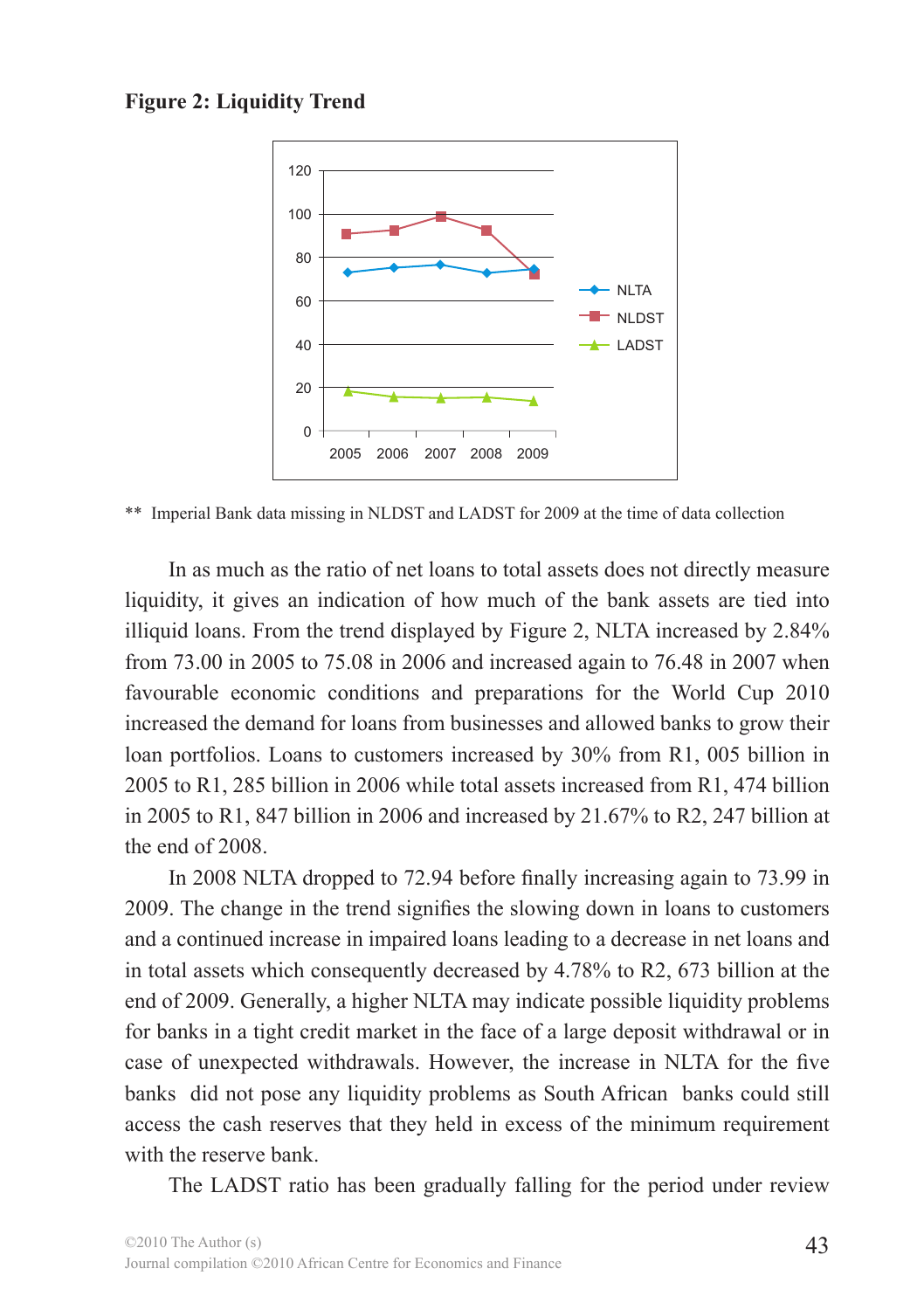#### **Figure 2: Liquidity Trend**



\*\* Imperial Bank data missing in NLDST and LADST for 2009 at the time of data collection

In as much as the ratio of net loans to total assets does not directly measure liquidity, it gives an indication of how much of the bank assets are tied into illiquid loans. From the trend displayed by Figure 2, NLTA increased by 2.84% from 73.00 in 2005 to 75.08 in 2006 and increased again to 76.48 in 2007 when favourable economic conditions and preparations for the World Cup 2010 increased the demand for loans from businesses and allowed banks to grow their loan portfolios. Loans to customers increased by 30% from R1, 005 billion in 2005 to R1, 285 billion in 2006 while total assets increased from R1, 474 billion in 2005 to R1, 847 billion in 2006 and increased by 21.67% to R2, 247 billion at the end of 2008.

In 2008 NLTA dropped to 72.94 before finally increasing again to 73.99 in 2009. The change in the trend signifies the slowing down in loans to customers and a continued increase in impaired loans leading to a decrease in net loans and in total assets which consequently decreased by 4.78% to R2, 673 billion at the end of 2009. Generally, a higher NLTA may indicate possible liquidity problems for banks in a tight credit market in the face of a large deposit withdrawal or in case of unexpected withdrawals. However, the increase in NLTA for the five banks did not pose any liquidity problems as South African banks could still access the cash reserves that they held in excess of the minimum requirement with the reserve bank

The LADST ratio has been gradually falling for the period under review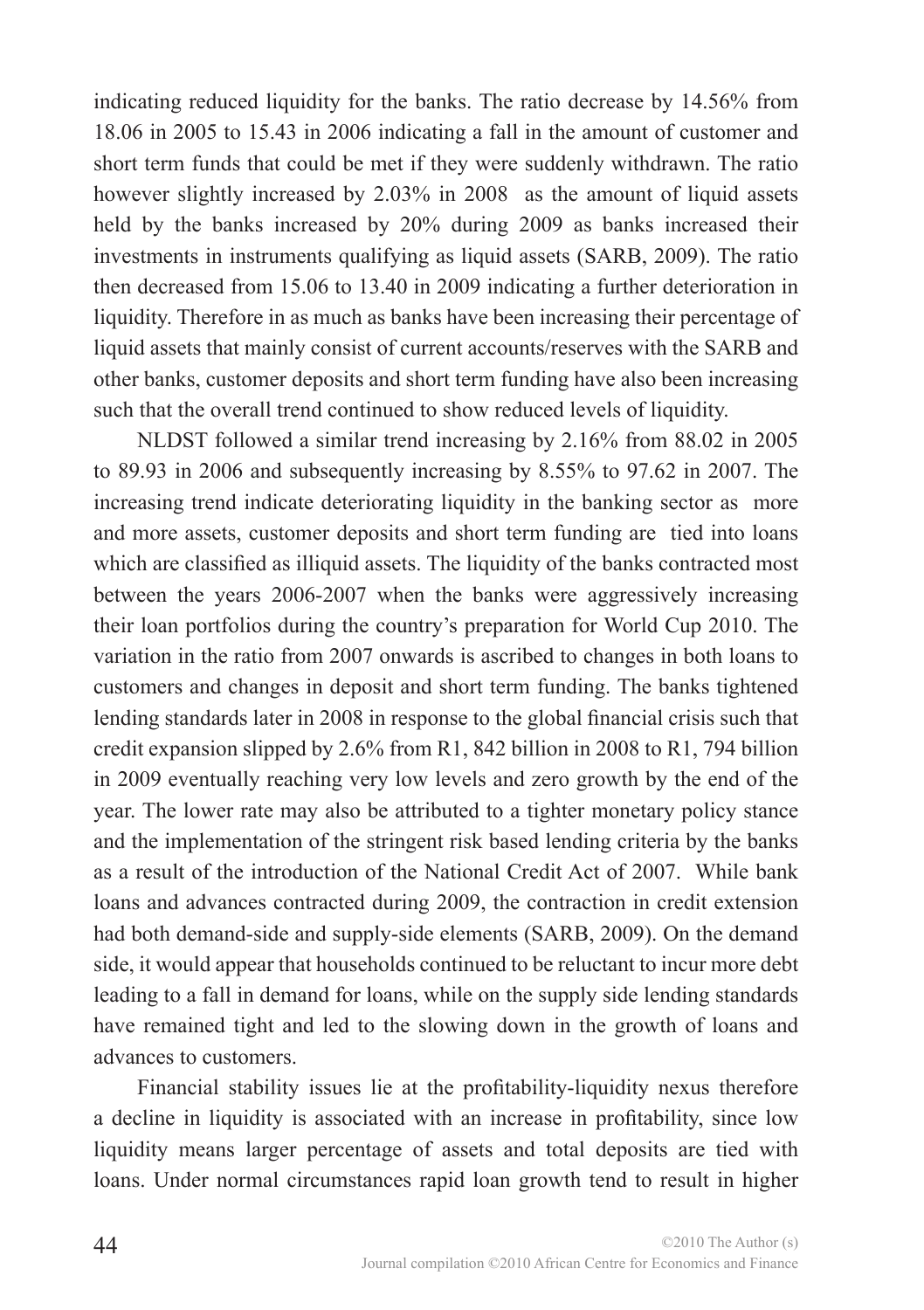indicating reduced liquidity for the banks. The ratio decrease by 14.56% from 18.06 in 2005 to 15.43 in 2006 indicating a fall in the amount of customer and short term funds that could be met if they were suddenly withdrawn. The ratio however slightly increased by 2.03% in 2008 as the amount of liquid assets held by the banks increased by 20% during 2009 as banks increased their investments in instruments qualifying as liquid assets (SARB, 2009). The ratio then decreased from 15.06 to 13.40 in 2009 indicating a further deterioration in liquidity. Therefore in as much as banks have been increasing their percentage of liquid assets that mainly consist of current accounts/reserves with the SARB and other banks, customer deposits and short term funding have also been increasing such that the overall trend continued to show reduced levels of liquidity.

NLDST followed a similar trend increasing by 2.16% from 88.02 in 2005 to 89.93 in 2006 and subsequently increasing by 8.55% to 97.62 in 2007. The increasing trend indicate deteriorating liquidity in the banking sector as more and more assets, customer deposits and short term funding are tied into loans which are classified as illiquid assets. The liquidity of the banks contracted most between the years 2006-2007 when the banks were aggressively increasing their loan portfolios during the country's preparation for World Cup 2010. The variation in the ratio from 2007 onwards is ascribed to changes in both loans to customers and changes in deposit and short term funding. The banks tightened lending standards later in 2008 in response to the global financial crisis such that credit expansion slipped by 2.6% from R1, 842 billion in 2008 to R1, 794 billion in 2009 eventually reaching very low levels and zero growth by the end of the year. The lower rate may also be attributed to a tighter monetary policy stance and the implementation of the stringent risk based lending criteria by the banks as a result of the introduction of the National Credit Act of 2007. While bank loans and advances contracted during 2009, the contraction in credit extension had both demand-side and supply-side elements (SARB, 2009). On the demand side, it would appear that households continued to be reluctant to incur more debt leading to a fall in demand for loans, while on the supply side lending standards have remained tight and led to the slowing down in the growth of loans and advances to customers.

Financial stability issues lie at the profitability-liquidity nexus therefore a decline in liquidity is associated with an increase in profitability, since low liquidity means larger percentage of assets and total deposits are tied with loans. Under normal circumstances rapid loan growth tend to result in higher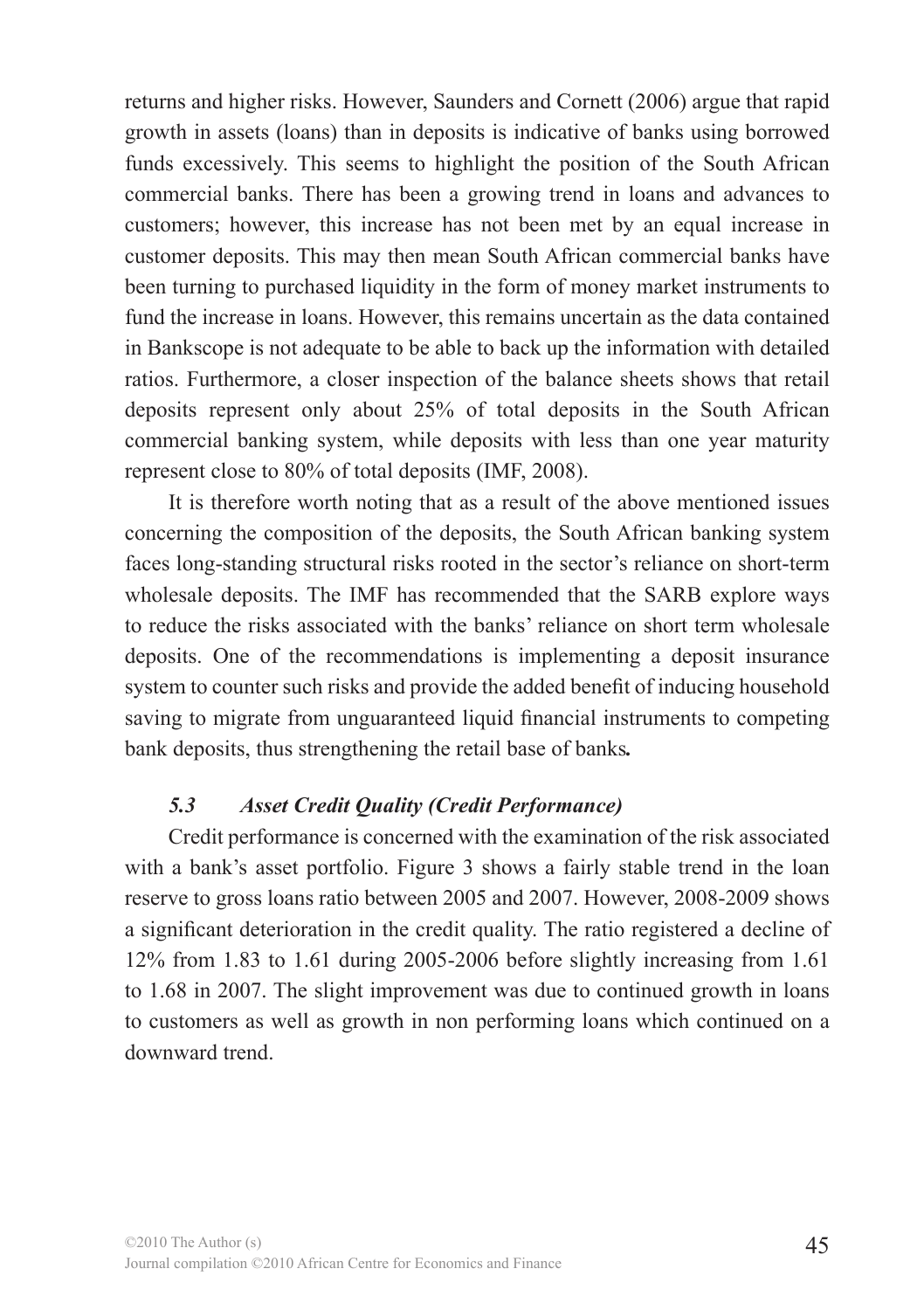returns and higher risks. However, Saunders and Cornett (2006) argue that rapid growth in assets (loans) than in deposits is indicative of banks using borrowed funds excessively. This seems to highlight the position of the South African commercial banks. There has been a growing trend in loans and advances to customers; however, this increase has not been met by an equal increase in customer deposits. This may then mean South African commercial banks have been turning to purchased liquidity in the form of money market instruments to fund the increase in loans. However, this remains uncertain as the data contained in Bankscope is not adequate to be able to back up the information with detailed ratios. Furthermore, a closer inspection of the balance sheets shows that retail deposits represent only about 25% of total deposits in the South African commercial banking system, while deposits with less than one year maturity represent close to 80% of total deposits (IMF, 2008).

It is therefore worth noting that as a result of the above mentioned issues concerning the composition of the deposits, the South African banking system faces long-standing structural risks rooted in the sector's reliance on short-term wholesale deposits. The IMF has recommended that the SARB explore ways to reduce the risks associated with the banks' reliance on short term wholesale deposits. One of the recommendations is implementing a deposit insurance system to counter such risks and provide the added benefit of inducing household saving to migrate from unguaranteed liquid financial instruments to competing bank deposits, thus strengthening the retail base of banks*.*

### *5.3 Asset Credit Quality (Credit Performance)*

Credit performance is concerned with the examination of the risk associated with a bank's asset portfolio. Figure 3 shows a fairly stable trend in the loan reserve to gross loans ratio between 2005 and 2007. However, 2008-2009 shows a significant deterioration in the credit quality. The ratio registered a decline of 12% from 1.83 to 1.61 during 2005-2006 before slightly increasing from 1.61 to 1.68 in 2007. The slight improvement was due to continued growth in loans to customers as well as growth in non performing loans which continued on a downward trend.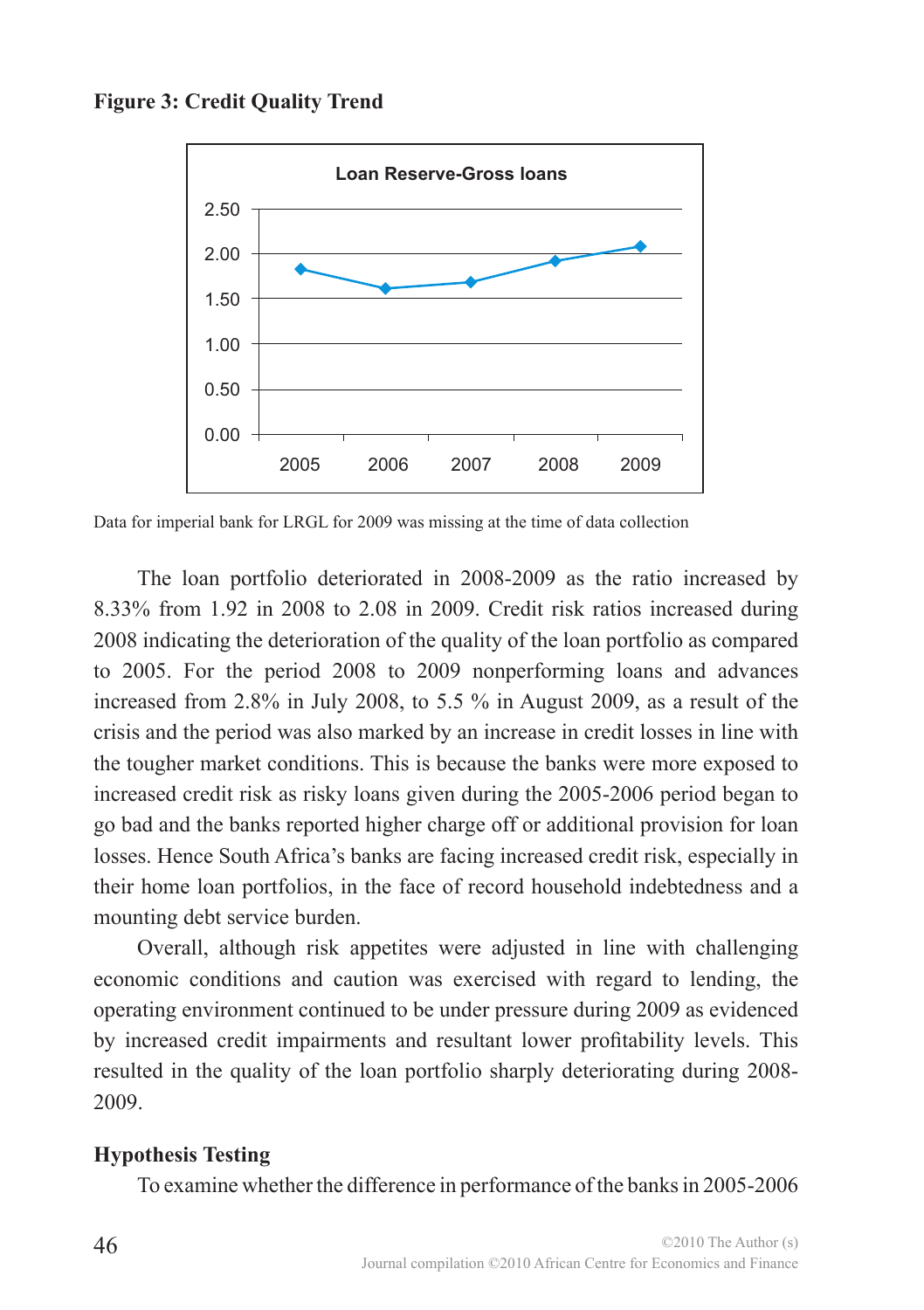



Data for imperial bank for LRGL for 2009 was missing at the time of data collection

The loan portfolio deteriorated in 2008-2009 as the ratio increased by 8.33% from 1.92 in 2008 to 2.08 in 2009. Credit risk ratios increased during 2008 indicating the deterioration of the quality of the loan portfolio as compared to 2005. For the period 2008 to 2009 nonperforming loans and advances increased from 2.8% in July 2008, to 5.5 % in August 2009, as a result of the crisis and the period was also marked by an increase in credit losses in line with the tougher market conditions. This is because the banks were more exposed to increased credit risk as risky loans given during the 2005-2006 period began to go bad and the banks reported higher charge off or additional provision for loan losses. Hence South Africa's banks are facing increased credit risk, especially in their home loan portfolios, in the face of record household indebtedness and a mounting debt service burden.

Overall, although risk appetites were adjusted in line with challenging economic conditions and caution was exercised with regard to lending, the operating environment continued to be under pressure during 2009 as evidenced by increased credit impairments and resultant lower profitability levels. This resulted in the quality of the loan portfolio sharply deteriorating during 2008- 2009.

#### **Hypothesis Testing**

To examine whether the difference in performance of the banks in 2005-2006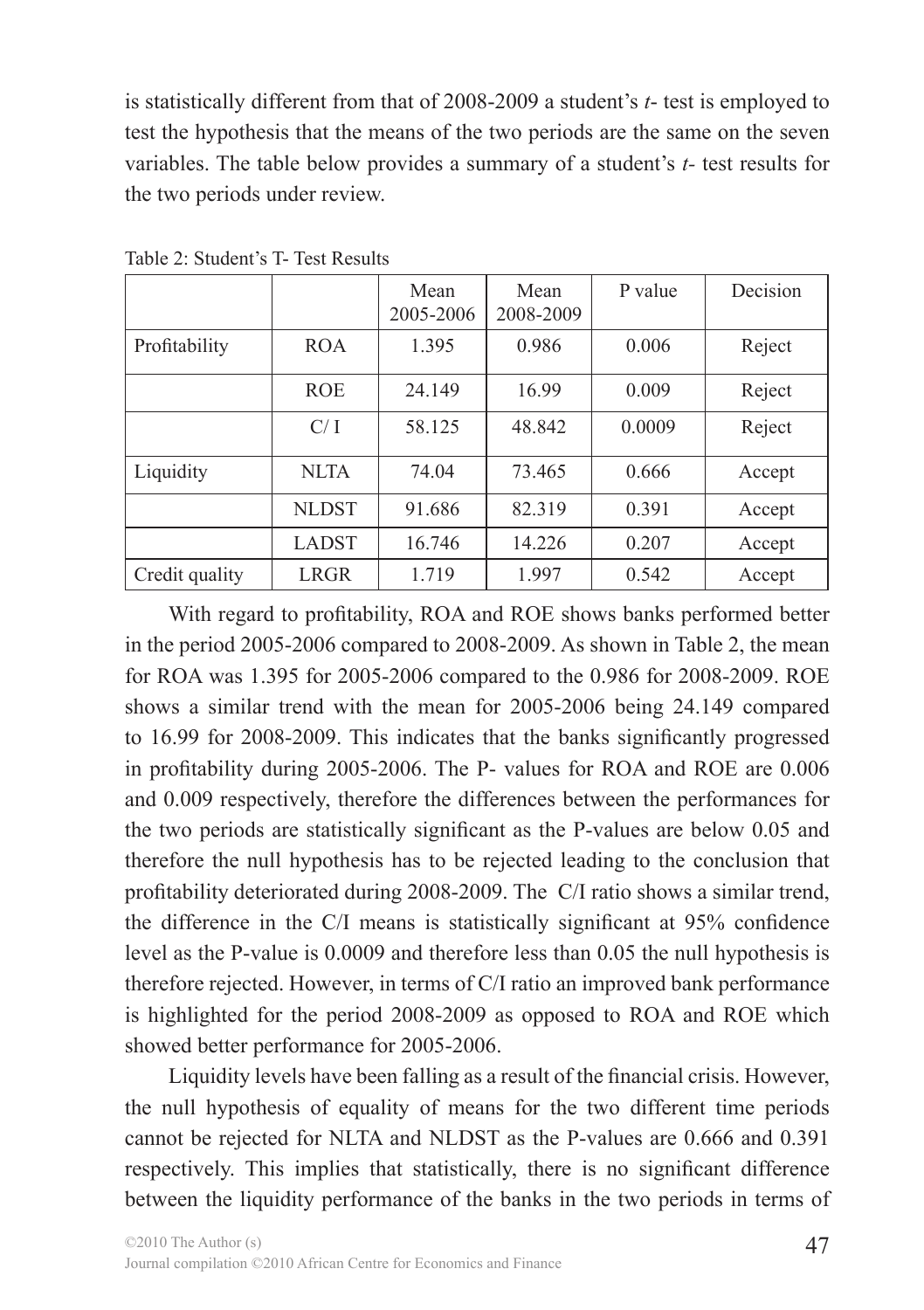is statistically different from that of 2008-2009 a student's *t*- test is employed to test the hypothesis that the means of the two periods are the same on the seven variables. The table below provides a summary of a student's *t-* test results for the two periods under review.

|                |              | Mean<br>2005-2006 | Mean<br>2008-2009 | P value | Decision |
|----------------|--------------|-------------------|-------------------|---------|----------|
| Profitability  | <b>ROA</b>   | 1.395             | 0.986             | 0.006   | Reject   |
|                | <b>ROE</b>   | 24.149            | 16.99             | 0.009   | Reject   |
|                | C/I          | 58.125            | 48.842            | 0.0009  | Reject   |
| Liquidity      | NLTA         | 74.04             | 73.465            | 0.666   | Accept   |
|                | <b>NLDST</b> | 91.686            | 82.319            | 0.391   | Accept   |
|                | <b>LADST</b> | 16.746            | 14.226            | 0.207   | Accept   |
| Credit quality | <b>LRGR</b>  | 1.719             | 1.997             | 0.542   | Accept   |

Table 2: Student's T- Test Results

With regard to profitability, ROA and ROE shows banks performed better in the period 2005-2006 compared to 2008-2009. As shown in Table 2, the mean for ROA was 1.395 for 2005-2006 compared to the 0.986 for 2008-2009. ROE shows a similar trend with the mean for 2005-2006 being 24.149 compared to 16.99 for 2008-2009. This indicates that the banks significantly progressed in profitability during 2005-2006. The P- values for ROA and ROE are 0.006 and 0.009 respectively, therefore the differences between the performances for the two periods are statistically significant as the P-values are below 0.05 and therefore the null hypothesis has to be rejected leading to the conclusion that profitability deteriorated during 2008-2009. The C/I ratio shows a similar trend, the difference in the C/I means is statistically significant at 95% confidence level as the P-value is 0.0009 and therefore less than 0.05 the null hypothesis is therefore rejected. However, in terms of C/I ratio an improved bank performance is highlighted for the period 2008-2009 as opposed to ROA and ROE which showed better performance for 2005-2006.

Liquidity levels have been falling as a result of the financial crisis. However, the null hypothesis of equality of means for the two different time periods cannot be rejected for NLTA and NLDST as the P-values are 0.666 and 0.391 respectively. This implies that statistically, there is no significant difference between the liquidity performance of the banks in the two periods in terms of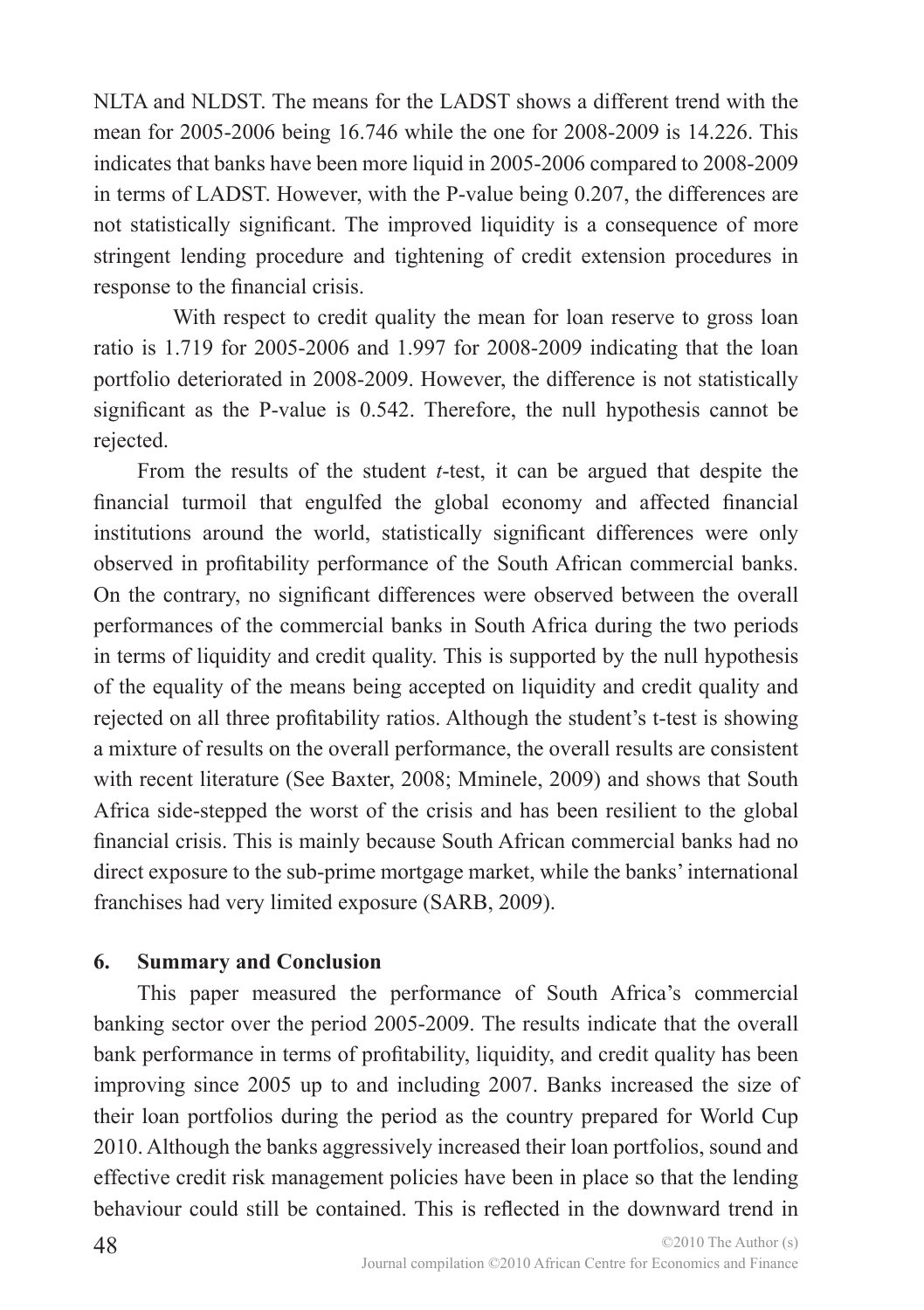NLTA and NLDST. The means for the LADST shows a different trend with the mean for 2005-2006 being 16.746 while the one for 2008-2009 is 14.226. This indicates that banks have been more liquid in 2005-2006 compared to 2008-2009 in terms of LADST. However, with the P-value being 0.207, the differences are not statistically significant. The improved liquidity is a consequence of more stringent lending procedure and tightening of credit extension procedures in response to the financial crisis.

With respect to credit quality the mean for loan reserve to gross loan ratio is 1.719 for 2005-2006 and 1.997 for 2008-2009 indicating that the loan portfolio deteriorated in 2008-2009. However, the difference is not statistically significant as the P-value is 0.542. Therefore, the null hypothesis cannot be rejected.

From the results of the student *t*-test, it can be argued that despite the financial turmoil that engulfed the global economy and affected financial institutions around the world, statistically significant differences were only observed in profitability performance of the South African commercial banks. On the contrary, no significant differences were observed between the overall performances of the commercial banks in South Africa during the two periods in terms of liquidity and credit quality. This is supported by the null hypothesis of the equality of the means being accepted on liquidity and credit quality and rejected on all three profitability ratios. Although the student's t-test is showing a mixture of results on the overall performance, the overall results are consistent with recent literature (See Baxter, 2008; Mminele, 2009) and shows that South Africa side-stepped the worst of the crisis and has been resilient to the global financial crisis. This is mainly because South African commercial banks had no direct exposure to the sub-prime mortgage market, while the banks' international franchises had very limited exposure (SARB, 2009).

### **6. Summary and Conclusion**

This paper measured the performance of South Africa's commercial banking sector over the period 2005-2009. The results indicate that the overall bank performance in terms of profitability, liquidity, and credit quality has been improving since 2005 up to and including 2007. Banks increased the size of their loan portfolios during the period as the country prepared for World Cup 2010. Although the banks aggressively increased their loan portfolios, sound and effective credit risk management policies have been in place so that the lending behaviour could still be contained. This is reflected in the downward trend in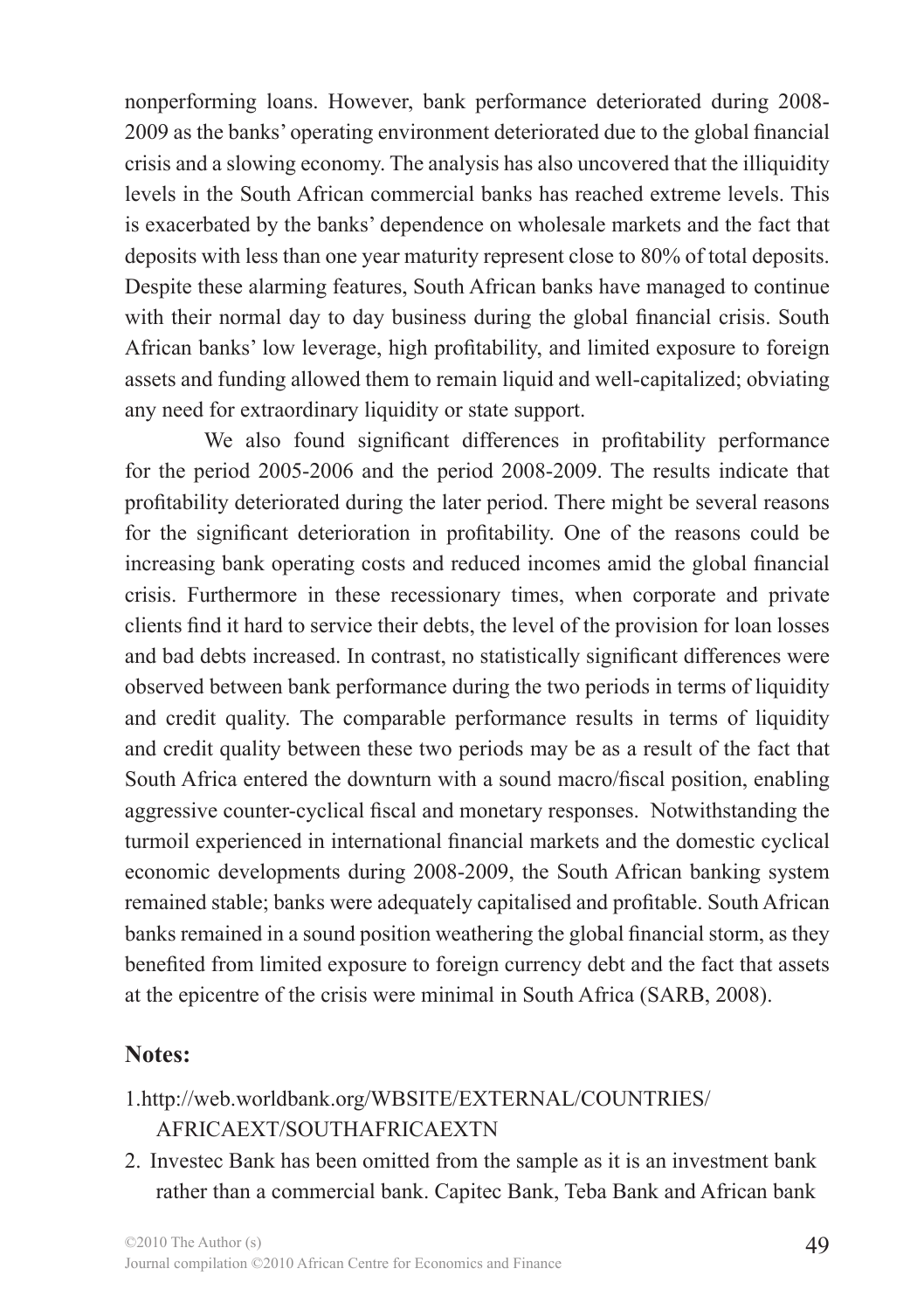nonperforming loans. However, bank performance deteriorated during 2008- 2009 as the banks' operating environment deteriorated due to the global financial crisis and a slowing economy. The analysis has also uncovered that the illiquidity levels in the South African commercial banks has reached extreme levels. This is exacerbated by the banks' dependence on wholesale markets and the fact that deposits with less than one year maturity represent close to 80% of total deposits. Despite these alarming features, South African banks have managed to continue with their normal day to day business during the global financial crisis. South African banks' low leverage, high profitability, and limited exposure to foreign assets and funding allowed them to remain liquid and well-capitalized; obviating any need for extraordinary liquidity or state support.

We also found significant differences in profitability performance for the period 2005-2006 and the period 2008-2009. The results indicate that profitability deteriorated during the later period. There might be several reasons for the significant deterioration in profitability. One of the reasons could be increasing bank operating costs and reduced incomes amid the global financial crisis. Furthermore in these recessionary times, when corporate and private clients find it hard to service their debts, the level of the provision for loan losses and bad debts increased. In contrast, no statistically significant differences were observed between bank performance during the two periods in terms of liquidity and credit quality. The comparable performance results in terms of liquidity and credit quality between these two periods may be as a result of the fact that South Africa entered the downturn with a sound macro/fiscal position, enabling aggressive counter-cyclical fiscal and monetary responses. Notwithstanding the turmoil experienced in international financial markets and the domestic cyclical economic developments during 2008-2009, the South African banking system remained stable; banks were adequately capitalised and profitable. South African banks remained in a sound position weathering the global financial storm, as they benefited from limited exposure to foreign currency debt and the fact that assets at the epicentre of the crisis were minimal in South Africa (SARB, 2008).

### **Notes:**

# 1.http://web.worldbank.org/WBSITE/EXTERNAL/COUNTRIES/ AFRICAEXT/SOUTHAFRICAEXTN

2. Investec Bank has been omitted from the sample as it is an investment bank rather than a commercial bank. Capitec Bank, Teba Bank and African bank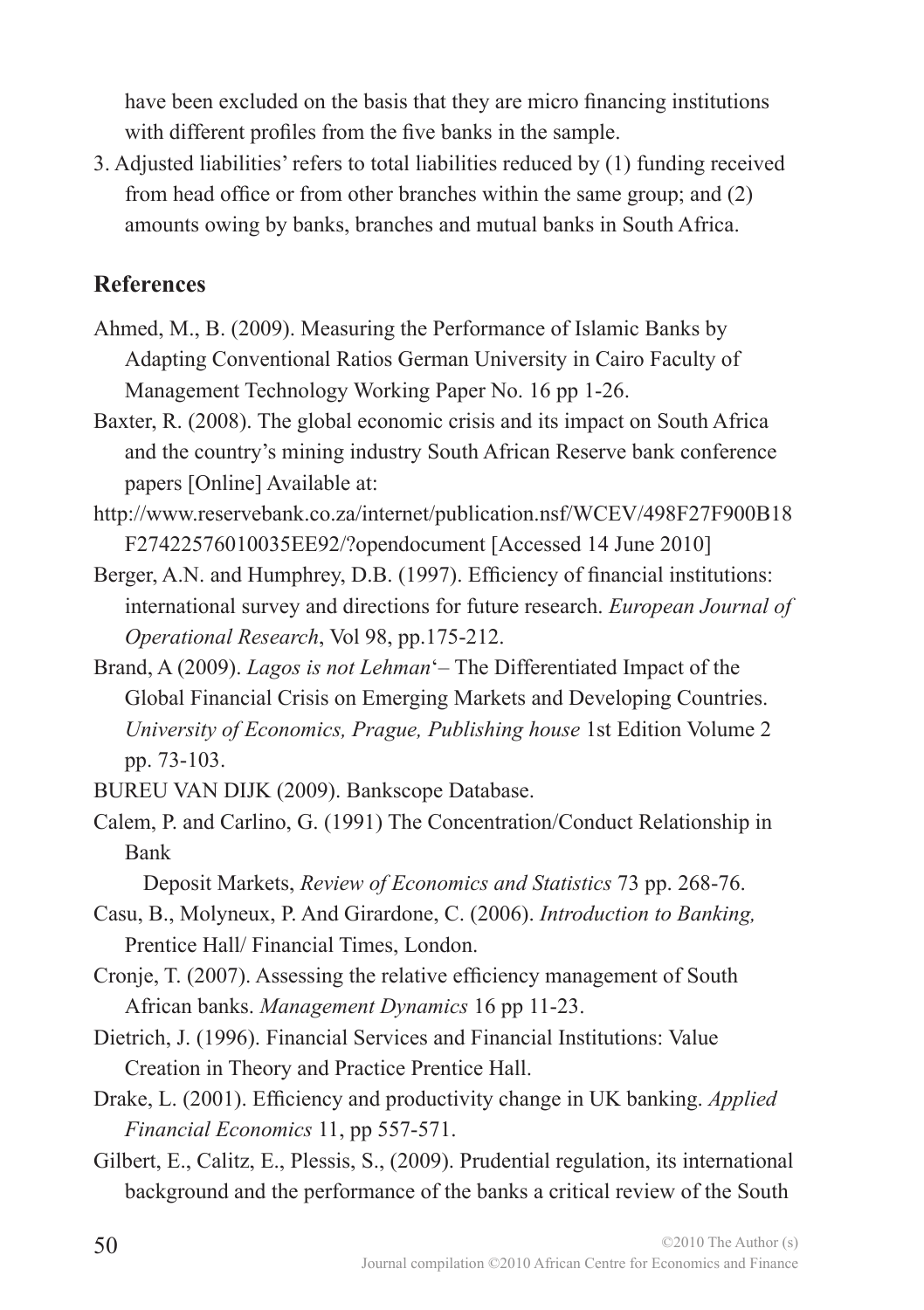have been excluded on the basis that they are micro financing institutions with different profiles from the five banks in the sample.

3. Adjusted liabilities' refers to total liabilities reduced by (1) funding received from head office or from other branches within the same group; and (2) amounts owing by banks, branches and mutual banks in South Africa.

### **References**

- Ahmed, M., B. (2009). Measuring the Performance of Islamic Banks by Adapting Conventional Ratios German University in Cairo Faculty of Management Technology Working Paper No. 16 pp 1-26.
- Baxter, R. (2008). The global economic crisis and its impact on South Africa and the country's mining industry South African Reserve bank conference papers [Online] Available at:
- http://www.reservebank.co.za/internet/publication.nsf/WCEV/498F27F900B18 F27422576010035EE92/?opendocument [Accessed 14 June 2010]
- Berger, A.N. and Humphrey, D.B. (1997). Efficiency of financial institutions: international survey and directions for future research. *European Journal of Operational Research*, Vol 98, pp.175-212.
- Brand, A (2009). *Lagos is not Lehman*'– The Differentiated Impact of the Global Financial Crisis on Emerging Markets and Developing Countries. *University of Economics, Prague, Publishing house* 1st Edition Volume 2 pp. 73-103.
- BUREU VAN DIJK (2009). Bankscope Database.
- Calem, P. and Carlino, G. (1991) The Concentration/Conduct Relationship in Bank

Deposit Markets, *Review of Economics and Statistics* 73 pp. 268-76.

- Casu, B., Molyneux, P. And Girardone, C. (2006). *Introduction to Banking,* Prentice Hall/ Financial Times, London.
- Cronje, T. (2007). Assessing the relative efficiency management of South African banks. *Management Dynamics* 16 pp 11-23.
- Dietrich, J. (1996). Financial Services and Financial Institutions: Value Creation in Theory and Practice Prentice Hall.
- Drake, L. (2001). Efficiency and productivity change in UK banking. *Applied Financial Economics* 11, pp 557-571.
- Gilbert, E., Calitz, E., Plessis, S., (2009). Prudential regulation, its international background and the performance of the banks a critical review of the South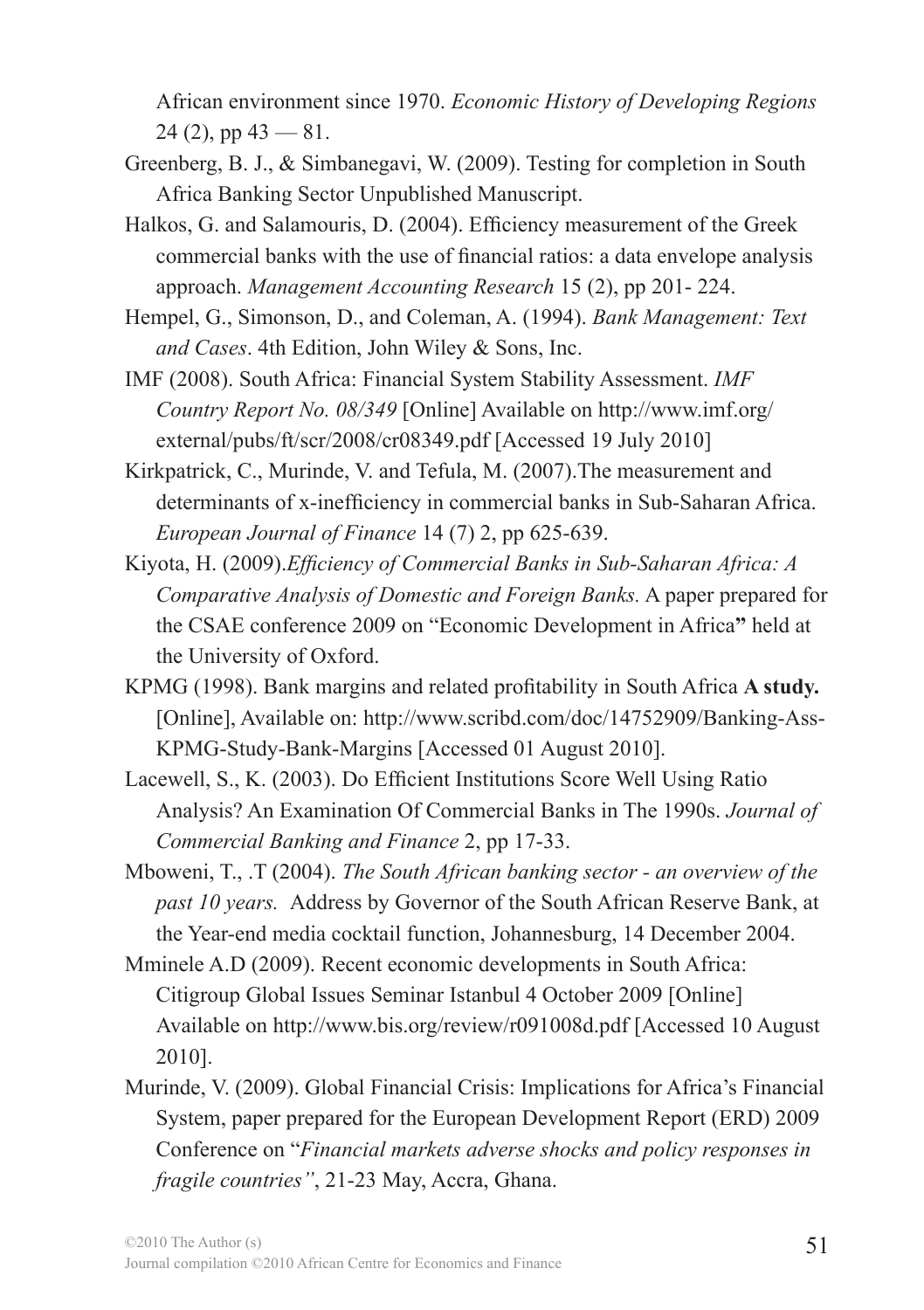African environment since 1970. *Economic History of Developing Regions*  $24$  (2), pp  $43 - 81$ .

- Greenberg, B. J., & Simbanegavi, W. (2009). Testing for completion in South Africa Banking Sector Unpublished Manuscript.
- Halkos, G. and Salamouris, D. (2004). Efficiency measurement of the Greek commercial banks with the use of financial ratios: a data envelope analysis approach. *Management Accounting Research* 15 (2), pp 201- 224.
- Hempel, G., Simonson, D., and Coleman, A. (1994). *Bank Management: Text and Cases*. 4th Edition, John Wiley & Sons, Inc.
- IMF (2008). South Africa: Financial System Stability Assessment. *IMF Country Report No. 08/349* [Online] Available on http://www.imf.org/ external/pubs/ft/scr/2008/cr08349.pdf [Accessed 19 July 2010]
- Kirkpatrick, C., Murinde, V. and Tefula, M. (2007).The measurement and determinants of x-inefficiency in commercial banks in Sub-Saharan Africa. *European Journal of Finance* 14 (7) 2, pp 625-639.
- Kiyota, H. (2009).*Efficiency of Commercial Banks in Sub-Saharan Africa: A Comparative Analysis of Domestic and Foreign Banks.* A paper prepared for the CSAE conference 2009 on "Economic Development in Africa**"** held at the University of Oxford.
- KPMG (1998). Bank margins and related profitability in South Africa **A study.**  [Online], Available on: http://www.scribd.com/doc/14752909/Banking-Ass-KPMG-Study-Bank-Margins [Accessed 01 August 2010].
- Lacewell, S., K. (2003). Do Efficient Institutions Score Well Using Ratio Analysis? An Examination Of Commercial Banks in The 1990s. *Journal of Commercial Banking and Finance* 2, pp 17-33.
- Mboweni, T., .T (2004). *The South African banking sector an overview of the past 10 years.*Address by Governor of the South African Reserve Bank, at the Year-end media cocktail function, Johannesburg, 14 December 2004.
- Mminele A.D (2009). Recent economic developments in South Africa: Citigroup Global Issues Seminar Istanbul 4 October 2009 [Online] Available on http://www.bis.org/review/r091008d.pdf [Accessed 10 August 2010].
- Murinde, V. (2009). Global Financial Crisis: Implications for Africa's Financial System, paper prepared for the European Development Report (ERD) 2009 Conference on "*Financial markets adverse shocks and policy responses in fragile countries"*, 21-23 May, Accra, Ghana.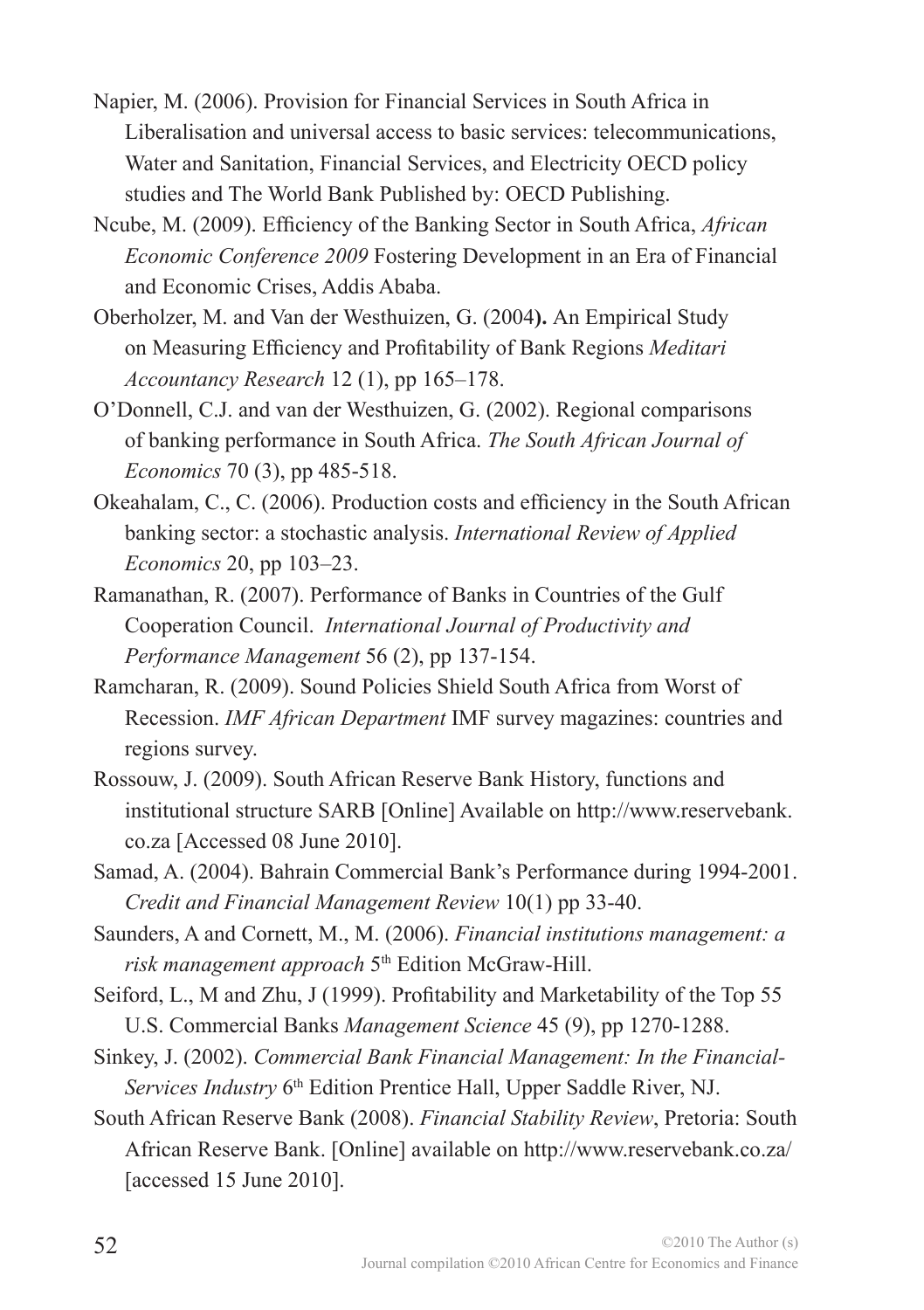- Napier, M. (2006). Provision for Financial Services in South Africa in Liberalisation and universal access to basic services: telecommunications, Water and Sanitation, Financial Services, and Electricity OECD policy studies and The World Bank Published by: OECD Publishing.
- Ncube, M. (2009). Efficiency of the Banking Sector in South Africa, *African Economic Conference 2009* Fostering Development in an Era of Financial and Economic Crises, Addis Ababa.
- Oberholzer, M. and Van der Westhuizen, G. (2004**).** An Empirical Study on Measuring Efficiency and Profitability of Bank Regions *Meditari Accountancy Research* 12 (1), pp 165–178.
- O'Donnell, C.J. and van der Westhuizen, G. (2002). Regional comparisons of banking performance in South Africa. *The South African Journal of Economics* 70 (3), pp 485-518.
- Okeahalam, C., C. (2006). Production costs and efficiency in the South African banking sector: a stochastic analysis. *International Review of Applied Economics* 20, pp 103–23.
- Ramanathan, R. (2007). Performance of Banks in Countries of the Gulf Cooperation Council. *International Journal of Productivity and Performance Management* 56 (2), pp 137-154.
- Ramcharan, R. (2009). Sound Policies Shield South Africa from Worst of Recession. *IMF African Department* IMF survey magazines: countries and regions survey.
- Rossouw, J. (2009). South African Reserve Bank History, functions and institutional structure SARB [Online] Available on http://www.reservebank. co.za [Accessed 08 June 2010].
- Samad, A. (2004). Bahrain Commercial Bank's Performance during 1994-2001. *Credit and Financial Management Review* 10(1) pp 33-40.
- Saunders, A and Cornett, M., M. (2006). *Financial institutions management: a risk management approach* 5<sup>th</sup> Edition McGraw-Hill.
- Seiford, L., M and Zhu, J (1999). Profitability and Marketability of the Top 55 U.S. Commercial Banks *Management Science* 45 (9), pp 1270-1288.
- Sinkey, J. (2002). *Commercial Bank Financial Management: In the Financial-Services Industry* 6<sup>th</sup> Edition Prentice Hall, Upper Saddle River, NJ.
- South African Reserve Bank (2008). *Financial Stability Review*, Pretoria: South African Reserve Bank. [Online] available on http://www.reservebank.co.za/ [accessed 15 June 2010].